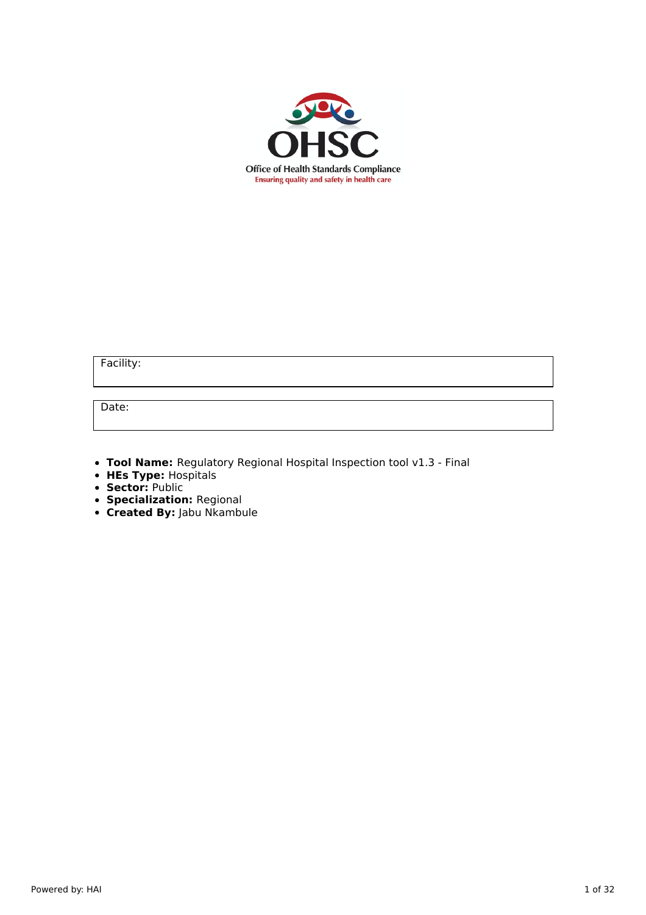

Facility:

Date:

- **Tool Name:** Regulatory Regional Hospital Inspection tool v1.3 Final
- **HEs Type:** Hospitals
- **Sector:** Public
- **Specialization:** Regional
- **Created By:** Jabu Nkambule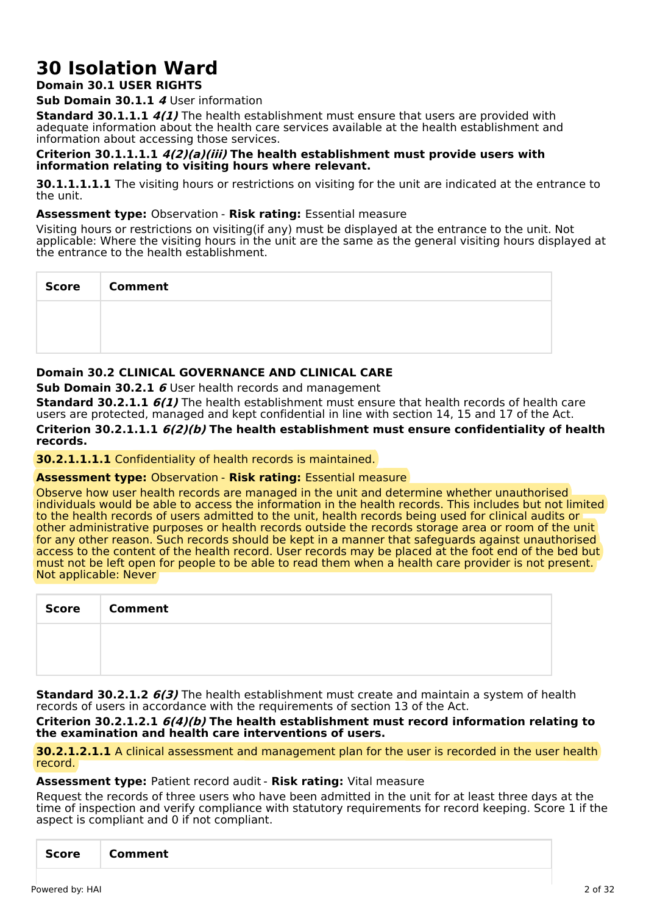# **30 Isolation Ward**

# **Domain 30.1 USER RIGHTS**

**Sub Domain 30.1.1 4** User information

**Standard 30.1.1.1 4(1)** The health establishment must ensure that users are provided with adequate information about the health care services available at the health establishment and information about accessing those services.

# **Criterion 30.1.1.1.1 4(2)(a)(iii) The health establishment must provide users with information relating to visiting hours where relevant.**

**30.1.1.1.1.1** The visiting hours or restrictions on visiting for the unit are indicated at the entrance to the unit.

# **Assessment type:** Observation - **Risk rating:** Essential measure

Visiting hours or restrictions on visiting(if any) must be displayed at the entrance to the unit. Not applicable: Where the visiting hours in the unit are the same as the general visiting hours displayed at the entrance to the health establishment.

| <b>Score</b> | <b>Comment</b> |
|--------------|----------------|
|              |                |
|              |                |

# **Domain 30.2 CLINICAL GOVERNANCE AND CLINICAL CARE**

**Sub Domain 30.2.1 6** User health records and management

**Standard 30.2.1.1 6(1)** The health establishment must ensure that health records of health care users are protected, managed and kept confidential in line with section 14, 15 and 17 of the Act. **Criterion 30.2.1.1.1 6(2)(b) The health establishment must ensure confidentiality of health records.**

**30.2.1.1.1.1** Confidentiality of health records is maintained.

**Assessment type:** Observation - **Risk rating:** Essential measure

Observe how user health records are managed in the unit and determine whether unauthorised individuals would be able to access the information in the health records. This includes but not limited to the health records of users admitted to the unit, health records being used for clinical audits or other administrative purposes or health records outside the records storage area or room of the unit for any other reason. Such records should be kept in a manner that safeguards against unauthorised access to the content of the health record. User records may be placed at the foot end of the bed but must not be left open for people to be able to read them when a health care provider is not present. Not applicable: Never

| <b>Score</b> | <b>Comment</b> |
|--------------|----------------|
|              |                |
|              |                |

**Standard 30.2.1.2 6(3)** The health establishment must create and maintain a system of health records of users in accordance with the requirements of section 13 of the Act.

**Criterion 30.2.1.2.1 6(4)(b) The health establishment must record information relating to the examination and health care interventions of users.**

**30.2.1.2.1.1** A clinical assessment and management plan for the user is recorded in the user health record.

# **Assessment type:** Patient record audit - **Risk rating:** Vital measure

Request the records of three users who have been admitted in the unit for at least three days at the time of inspection and verify compliance with statutory requirements for record keeping. Score 1 if the aspect is compliant and 0 if not compliant.

| <b>Score</b> | Comment |  |
|--------------|---------|--|
|--------------|---------|--|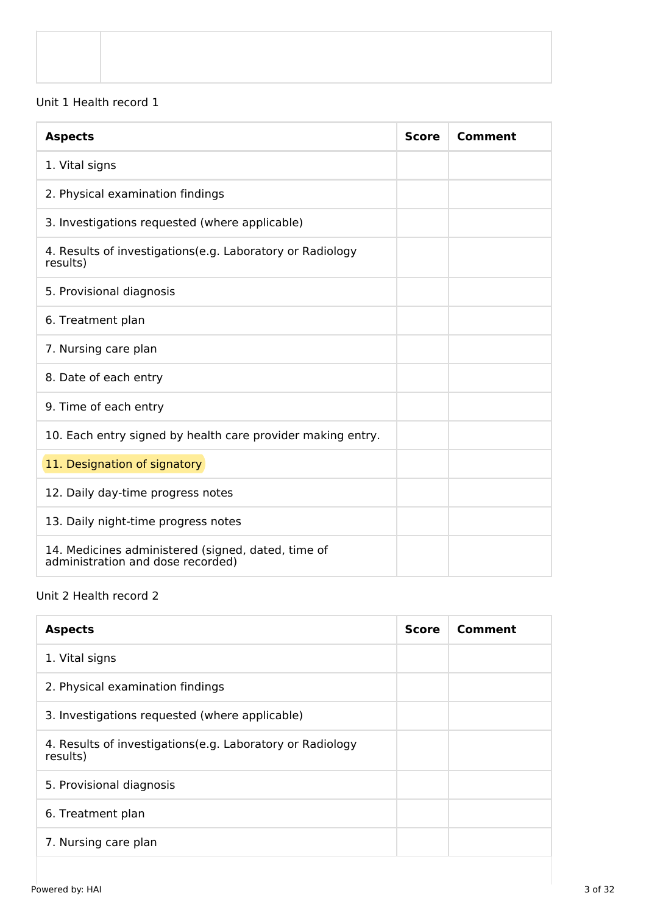# Unit 1 Health record 1

| <b>Aspects</b>                                                                          | <b>Score</b> | <b>Comment</b> |
|-----------------------------------------------------------------------------------------|--------------|----------------|
| 1. Vital signs                                                                          |              |                |
| 2. Physical examination findings                                                        |              |                |
| 3. Investigations requested (where applicable)                                          |              |                |
| 4. Results of investigations (e.g. Laboratory or Radiology<br>results)                  |              |                |
| 5. Provisional diagnosis                                                                |              |                |
| 6. Treatment plan                                                                       |              |                |
| 7. Nursing care plan                                                                    |              |                |
| 8. Date of each entry                                                                   |              |                |
| 9. Time of each entry                                                                   |              |                |
| 10. Each entry signed by health care provider making entry.                             |              |                |
| 11. Designation of signatory                                                            |              |                |
| 12. Daily day-time progress notes                                                       |              |                |
| 13. Daily night-time progress notes                                                     |              |                |
| 14. Medicines administered (signed, dated, time of<br>administration and dose recorded) |              |                |

# Unit 2 Health record 2

| <b>Aspects</b>                                                         | <b>Score</b> | Comment |
|------------------------------------------------------------------------|--------------|---------|
| 1. Vital signs                                                         |              |         |
| 2. Physical examination findings                                       |              |         |
| 3. Investigations requested (where applicable)                         |              |         |
| 4. Results of investigations (e.g. Laboratory or Radiology<br>results) |              |         |
| 5. Provisional diagnosis                                               |              |         |
| 6. Treatment plan                                                      |              |         |
| 7. Nursing care plan                                                   |              |         |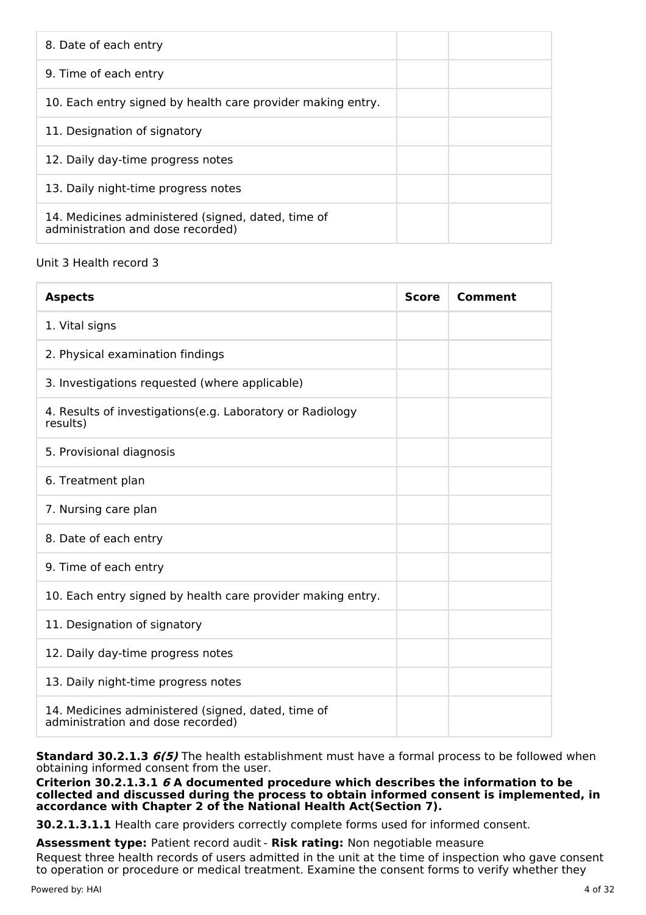| 8. Date of each entry                                                                   |  |
|-----------------------------------------------------------------------------------------|--|
| 9. Time of each entry                                                                   |  |
| 10. Each entry signed by health care provider making entry.                             |  |
| 11. Designation of signatory                                                            |  |
| 12. Daily day-time progress notes                                                       |  |
| 13. Daily night-time progress notes                                                     |  |
| 14. Medicines administered (signed, dated, time of<br>administration and dose recorded) |  |

# Unit 3 Health record 3

| <b>Aspects</b>                                                                          | <b>Score</b> | Comment |
|-----------------------------------------------------------------------------------------|--------------|---------|
| 1. Vital signs                                                                          |              |         |
| 2. Physical examination findings                                                        |              |         |
| 3. Investigations requested (where applicable)                                          |              |         |
| 4. Results of investigations(e.g. Laboratory or Radiology<br>results)                   |              |         |
| 5. Provisional diagnosis                                                                |              |         |
| 6. Treatment plan                                                                       |              |         |
| 7. Nursing care plan                                                                    |              |         |
| 8. Date of each entry                                                                   |              |         |
| 9. Time of each entry                                                                   |              |         |
| 10. Each entry signed by health care provider making entry.                             |              |         |
| 11. Designation of signatory                                                            |              |         |
| 12. Daily day-time progress notes                                                       |              |         |
| 13. Daily night-time progress notes                                                     |              |         |
| 14. Medicines administered (signed, dated, time of<br>administration and dose recorded) |              |         |

**Standard 30.2.1.3 6(5)** The health establishment must have a formal process to be followed when obtaining informed consent from the user.

**Criterion 30.2.1.3.1 6 A documented procedure which describes the information to be collected and discussed during the process to obtain informed consent is implemented, in accordance with Chapter 2 of the National Health Act(Section 7).**

**30.2.1.3.1.1** Health care providers correctly complete forms used for informed consent.

**Assessment type:** Patient record audit - **Risk rating:** Non negotiable measure

Request three health records of users admitted in the unit at the time of inspection who gave consent to operation or procedure or medical treatment. Examine the consent forms to verify whether they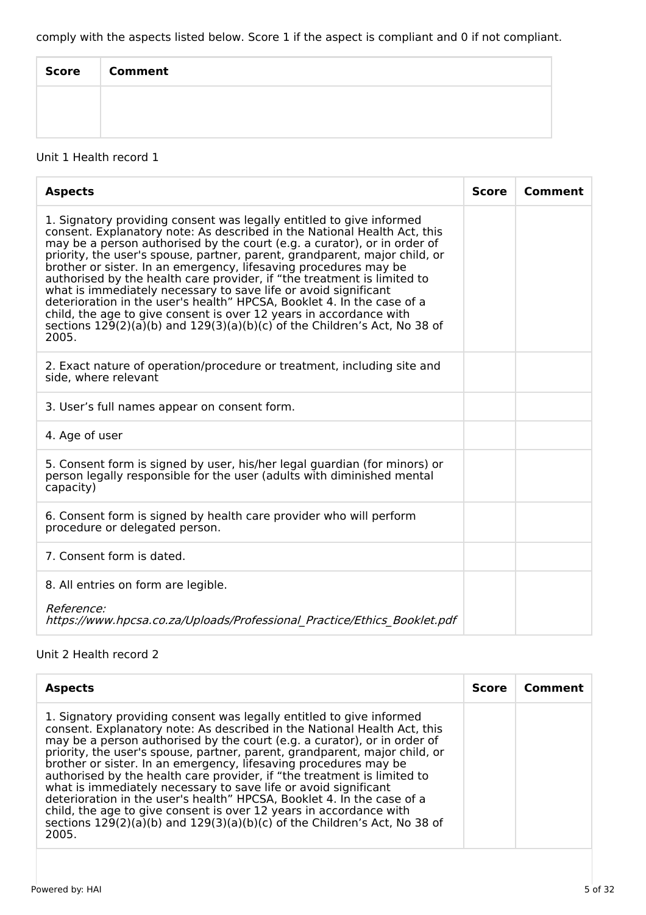comply with the aspects listed below. Score 1 if the aspect is compliant and 0 if not compliant.

| <b>Score</b> | <b>Comment</b> |
|--------------|----------------|
|              |                |
|              |                |

# Unit 1 Health record 1

| <b>Aspects</b>                                                                                                                                                                                                                                                                                                                                                                                                                                                                                                                                                                                                                                                                                                                                                         | <b>Score</b> | <b>Comment</b> |
|------------------------------------------------------------------------------------------------------------------------------------------------------------------------------------------------------------------------------------------------------------------------------------------------------------------------------------------------------------------------------------------------------------------------------------------------------------------------------------------------------------------------------------------------------------------------------------------------------------------------------------------------------------------------------------------------------------------------------------------------------------------------|--------------|----------------|
| 1. Signatory providing consent was legally entitled to give informed<br>consent. Explanatory note: As described in the National Health Act, this<br>may be a person authorised by the court (e.g. a curator), or in order of<br>priority, the user's spouse, partner, parent, grandparent, major child, or<br>brother or sister. In an emergency, lifesaving procedures may be<br>authorised by the health care provider, if "the treatment is limited to<br>what is immediately necessary to save life or avoid significant<br>deterioration in the user's health" HPCSA, Booklet 4. In the case of a<br>child, the age to give consent is over 12 years in accordance with<br>sections $129(2)(a)(b)$ and $129(3)(a)(b)(c)$ of the Children's Act, No 38 of<br>2005. |              |                |
| 2. Exact nature of operation/procedure or treatment, including site and<br>side, where relevant                                                                                                                                                                                                                                                                                                                                                                                                                                                                                                                                                                                                                                                                        |              |                |
| 3. User's full names appear on consent form.                                                                                                                                                                                                                                                                                                                                                                                                                                                                                                                                                                                                                                                                                                                           |              |                |
| 4. Age of user                                                                                                                                                                                                                                                                                                                                                                                                                                                                                                                                                                                                                                                                                                                                                         |              |                |
| 5. Consent form is signed by user, his/her legal guardian (for minors) or<br>person legally responsible for the user (adults with diminished mental<br>capacity)                                                                                                                                                                                                                                                                                                                                                                                                                                                                                                                                                                                                       |              |                |
| 6. Consent form is signed by health care provider who will perform<br>procedure or delegated person.                                                                                                                                                                                                                                                                                                                                                                                                                                                                                                                                                                                                                                                                   |              |                |
| 7. Consent form is dated.                                                                                                                                                                                                                                                                                                                                                                                                                                                                                                                                                                                                                                                                                                                                              |              |                |
| 8. All entries on form are legible.                                                                                                                                                                                                                                                                                                                                                                                                                                                                                                                                                                                                                                                                                                                                    |              |                |
| <i>Reference:</i><br>https://www.hpcsa.co.za/Uploads/Professional Practice/Ethics Booklet.pdf                                                                                                                                                                                                                                                                                                                                                                                                                                                                                                                                                                                                                                                                          |              |                |

# Unit 2 Health record 2

| <b>Aspects</b>                                                                                                                                                                                                                                                                                                                                                                                                                                                                                                                                                                                                                                                                                                                                                         | <b>Score</b> | Comment |
|------------------------------------------------------------------------------------------------------------------------------------------------------------------------------------------------------------------------------------------------------------------------------------------------------------------------------------------------------------------------------------------------------------------------------------------------------------------------------------------------------------------------------------------------------------------------------------------------------------------------------------------------------------------------------------------------------------------------------------------------------------------------|--------------|---------|
| 1. Signatory providing consent was legally entitled to give informed<br>consent. Explanatory note: As described in the National Health Act, this<br>may be a person authorised by the court (e.g. a curator), or in order of<br>priority, the user's spouse, partner, parent, grandparent, major child, or<br>brother or sister. In an emergency, lifesaving procedures may be<br>authorised by the health care provider, if "the treatment is limited to<br>what is immediately necessary to save life or avoid significant<br>deterioration in the user's health" HPCSA, Booklet 4. In the case of a<br>child, the age to give consent is over 12 years in accordance with<br>sections $129(2)(a)(b)$ and $129(3)(a)(b)(c)$ of the Children's Act, No 38 of<br>2005. |              |         |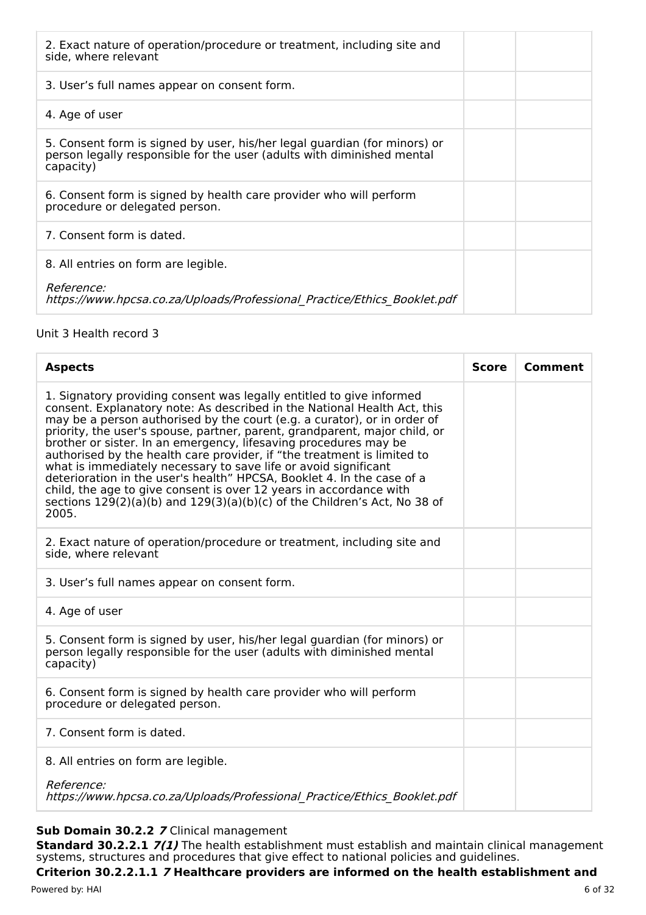| 2. Exact nature of operation/procedure or treatment, including site and<br>side, where relevant                                                                  |  |
|------------------------------------------------------------------------------------------------------------------------------------------------------------------|--|
| 3. User's full names appear on consent form.                                                                                                                     |  |
| 4. Age of user                                                                                                                                                   |  |
| 5. Consent form is signed by user, his/her legal guardian (for minors) or<br>person legally responsible for the user (adults with diminished mental<br>capacity) |  |
| 6. Consent form is signed by health care provider who will perform<br>procedure or delegated person.                                                             |  |
| 7. Consent form is dated.                                                                                                                                        |  |
| 8. All entries on form are legible.                                                                                                                              |  |
| <i>Reference:</i><br>https://www.hpcsa.co.za/Uploads/Professional Practice/Ethics Booklet.pdf                                                                    |  |

# Unit 3 Health record 3

| <b>Score</b> | Comment |
|--------------|---------|
|              |         |
|              |         |
|              |         |
|              |         |
|              |         |
|              |         |
|              |         |
|              |         |
|              |         |

# **Sub Domain 30.2.2 7** Clinical management

**Standard 30.2.2.1 7(1)** The health establishment must establish and maintain clinical management systems, structures and procedures that give effect to national policies and guidelines.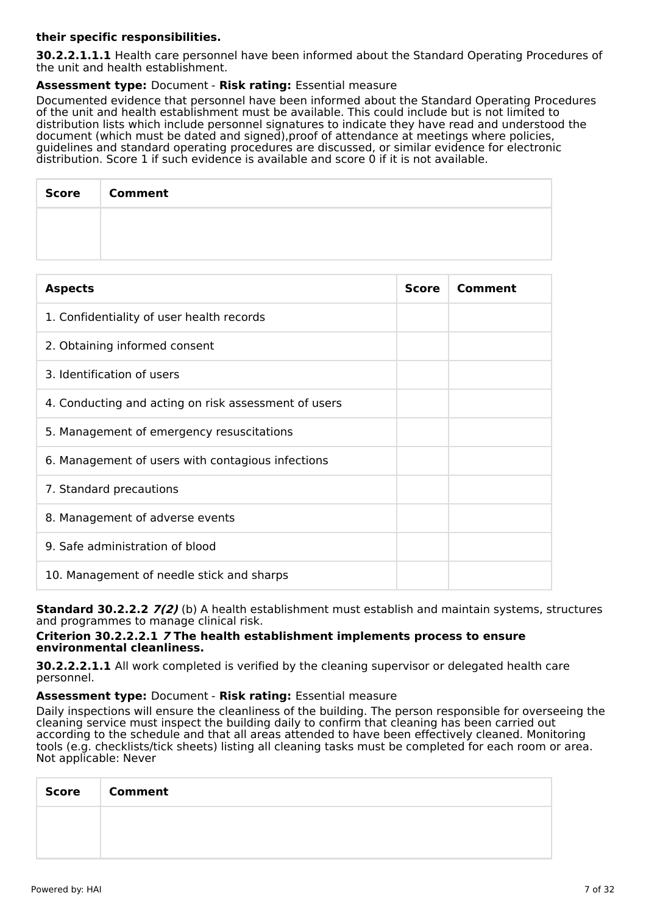# **their specific responsibilities.**

**30.2.2.1.1.1** Health care personnel have been informed about the Standard Operating Procedures of the unit and health establishment.

# **Assessment type:** Document - **Risk rating:** Essential measure

Documented evidence that personnel have been informed about the Standard Operating Procedures of the unit and health establishment must be available. This could include but is not limited to distribution lists which include personnel signatures to indicate they have read and understood the document (which must be dated and signed),proof of attendance at meetings where policies, guidelines and standard operating procedures are discussed, or similar evidence for electronic distribution. Score 1 if such evidence is available and score 0 if it is not available.

| Score   Comment |
|-----------------|
|                 |
|                 |

| <b>Aspects</b>                                       | <b>Score</b> | Comment |
|------------------------------------------------------|--------------|---------|
| 1. Confidentiality of user health records            |              |         |
| 2. Obtaining informed consent                        |              |         |
| 3. Identification of users                           |              |         |
| 4. Conducting and acting on risk assessment of users |              |         |
| 5. Management of emergency resuscitations            |              |         |
| 6. Management of users with contagious infections    |              |         |
| 7. Standard precautions                              |              |         |
| 8. Management of adverse events                      |              |         |
| 9. Safe administration of blood                      |              |         |
| 10. Management of needle stick and sharps            |              |         |

**Standard 30.2.2.2 7(2)** (b) A health establishment must establish and maintain systems, structures and programmes to manage clinical risk.

#### **Criterion 30.2.2.2.1 7 The health establishment implements process to ensure environmental cleanliness.**

**30.2.2.2.1.1** All work completed is verified by the cleaning supervisor or delegated health care personnel.

#### **Assessment type:** Document - **Risk rating:** Essential measure

Daily inspections will ensure the cleanliness of the building. The person responsible for overseeing the cleaning service must inspect the building daily to confirm that cleaning has been carried out according to the schedule and that all areas attended to have been effectively cleaned. Monitoring tools (e.g. checklists/tick sheets) listing all cleaning tasks must be completed for each room or area. Not applicable: Never

| <b>Score</b> | <b>Comment</b> |
|--------------|----------------|
|              |                |
|              |                |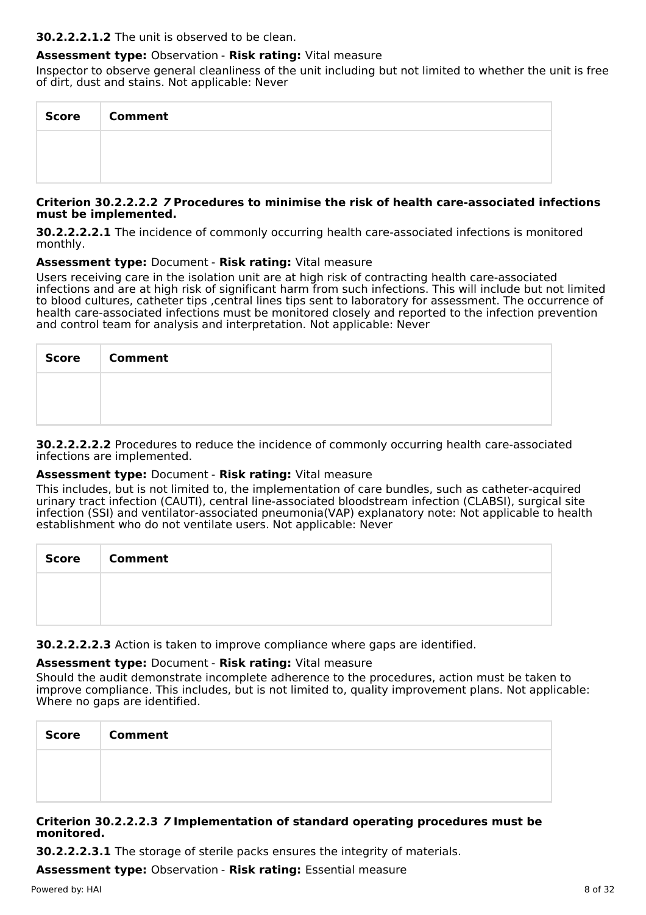#### **30.2.2.2.1.2** The unit is observed to be clean.

# **Assessment type:** Observation - **Risk rating:** Vital measure

Inspector to observe general cleanliness of the unit including but not limited to whether the unit is free of dirt, dust and stains. Not applicable: Never

| Score | <b>Comment</b> |
|-------|----------------|
|       |                |
|       |                |

#### **Criterion 30.2.2.2.2 7 Procedures to minimise the risk of health care-associated infections must be implemented.**

**30.2.2.2.2.1** The incidence of commonly occurring health care-associated infections is monitored monthly.

#### **Assessment type:** Document - **Risk rating:** Vital measure

Users receiving care in the isolation unit are at high risk of contracting health care-associated infections and are at high risk of significant harm from such infections. This will include but not limited to blood cultures, catheter tips ,central lines tips sent to laboratory for assessment. The occurrence of health care-associated infections must be monitored closely and reported to the infection prevention and control team for analysis and interpretation. Not applicable: Never

| Score   Comment |
|-----------------|
|                 |
|                 |

**30.2.2.2.2.2** Procedures to reduce the incidence of commonly occurring health care-associated infections are implemented.

#### **Assessment type:** Document - **Risk rating:** Vital measure

This includes, but is not limited to, the implementation of care bundles, such as catheter-acquired urinary tract infection (CAUTI), central line-associated bloodstream infection (CLABSI), surgical site infection (SSI) and ventilator-associated pneumonia(VAP) explanatory note: Not applicable to health establishment who do not ventilate users. Not applicable: Never

| Score   Comment |
|-----------------|
|                 |
|                 |

**30.2.2.2.2.3** Action is taken to improve compliance where gaps are identified.

# **Assessment type:** Document - **Risk rating:** Vital measure

Should the audit demonstrate incomplete adherence to the procedures, action must be taken to improve compliance. This includes, but is not limited to, quality improvement plans. Not applicable: Where no gaps are identified.

| <b>Score</b> | <b>Comment</b> |
|--------------|----------------|
|              |                |
|              |                |

#### **Criterion 30.2.2.2.3 7 Implementation of standard operating procedures must be monitored.**

**30.2.2.2.3.1** The storage of sterile packs ensures the integrity of materials.

**Assessment type:** Observation - **Risk rating:** Essential measure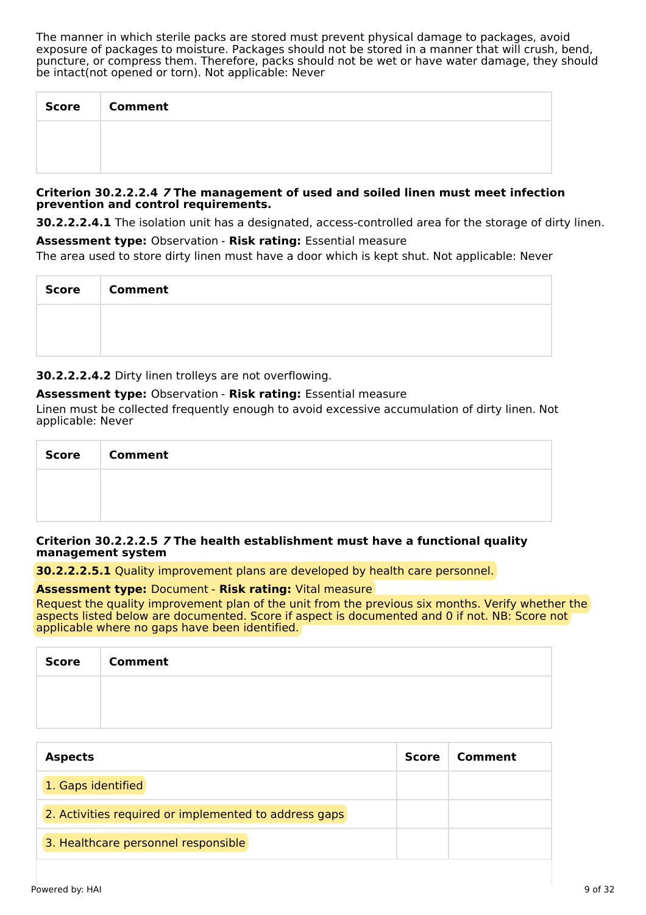The manner in which sterile packs are stored must prevent physical damage to packages, avoid exposure of packages to moisture. Packages should not be stored in a manner that will crush, bend, puncture, or compress them. Therefore, packs should not be wet or have water damage, they should be intact(not opened or torn). Not applicable: Never

| <b>Score</b> | <b>Comment</b> |
|--------------|----------------|
|              |                |
|              |                |

#### **Criterion 30.2.2.2.4 7 The management of used and soiled linen must meet infection prevention and control requirements.**

**30.2.2.2.4.1** The isolation unit has a designated, access-controlled area for the storage of dirty linen.

**Assessment type:** Observation - **Risk rating:** Essential measure The area used to store dirty linen must have a door which is kept shut. Not applicable: Never

| <b>Score</b> | <b>Comment</b> |
|--------------|----------------|
|              |                |
|              |                |

**30.2.2.2.4.2** Dirty linen trolleys are not overflowing.

# **Assessment type:** Observation - **Risk rating:** Essential measure

Linen must be collected frequently enough to avoid excessive accumulation of dirty linen. Not applicable: Never

| Score   Comment |
|-----------------|
|                 |
|                 |

#### **Criterion 30.2.2.2.5 7 The health establishment must have a functional quality management system**

**30.2.2.2.5.1** Quality improvement plans are developed by health care personnel.

#### **Assessment type:** Document - **Risk rating:** Vital measure

Request the quality improvement plan of the unit from the previous six months. Verify whether the aspects listed below are documented. Score if aspect is documented and 0 if not. NB: Score not applicable where no gaps have been identified.

| <b>Score</b> | <b>Comment</b> |
|--------------|----------------|
|              |                |
|              |                |

| <b>Aspects</b>                                        | <b>Score</b> | Comment |
|-------------------------------------------------------|--------------|---------|
| 1. Gaps identified                                    |              |         |
| 2. Activities required or implemented to address gaps |              |         |
| 3. Healthcare personnel responsible                   |              |         |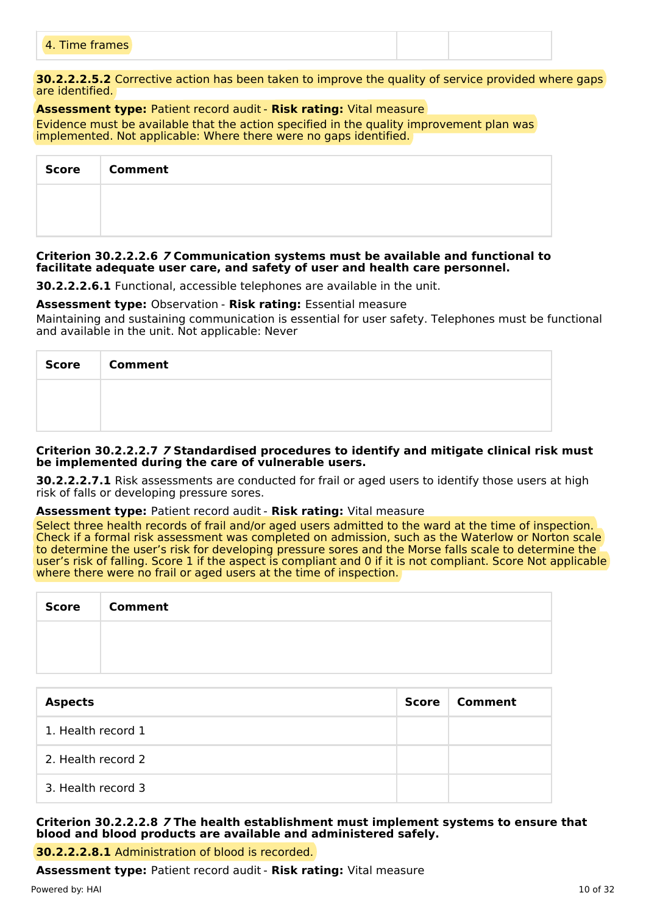| 4 Time fr<br>4. Time frames |
|-----------------------------|
|-----------------------------|

**30.2.2.2.5.2** Corrective action has been taken to improve the quality of service provided where gaps are identified.

#### **Assessment type:** Patient record audit - **Risk rating:** Vital measure Evidence must be available that the action specified in the quality improvement plan was implemented. Not applicable: Where there were no gaps identified.

| <b>Score</b> | <b>Comment</b> |  |  |  |
|--------------|----------------|--|--|--|
|              |                |  |  |  |
|              |                |  |  |  |

#### **Criterion 30.2.2.2.6 7 Communication systems must be available and functional to facilitate adequate user care, and safety of user and health care personnel.**

**30.2.2.2.6.1** Functional, accessible telephones are available in the unit.

#### **Assessment type:** Observation - **Risk rating:** Essential measure

Maintaining and sustaining communication is essential for user safety. Telephones must be functional and available in the unit. Not applicable: Never

| <b>Score</b> | <b>Comment</b> |
|--------------|----------------|
|              |                |
|              |                |

#### **Criterion 30.2.2.2.7 7 Standardised procedures to identify and mitigate clinical risk must be implemented during the care of vulnerable users.**

**30.2.2.2.7.1** Risk assessments are conducted for frail or aged users to identify those users at high risk of falls or developing pressure sores.

# **Assessment type:** Patient record audit - **Risk rating:** Vital measure

Select three health records of frail and/or aged users admitted to the ward at the time of inspection. Check if a formal risk assessment was completed on admission, such as the Waterlow or Norton scale to determine the user's risk for developing pressure sores and the Morse falls scale to determine the user's risk of falling. Score 1 if the aspect is compliant and 0 if it is not compliant. Score Not applicable where there were no frail or aged users at the time of inspection.

| <b>Score</b> | <b>Comment</b> |
|--------------|----------------|
|              |                |
|              |                |

| <b>Aspects</b>     | Score | Comment |
|--------------------|-------|---------|
| 1. Health record 1 |       |         |
| 2. Health record 2 |       |         |
| 3. Health record 3 |       |         |

# **Criterion 30.2.2.2.8 7 The health establishment must implement systems to ensure that blood and blood products are available and administered safely.**

**30.2.2.2.8.1** Administration of blood is recorded.

**Assessment type:** Patient record audit - **Risk rating:** Vital measure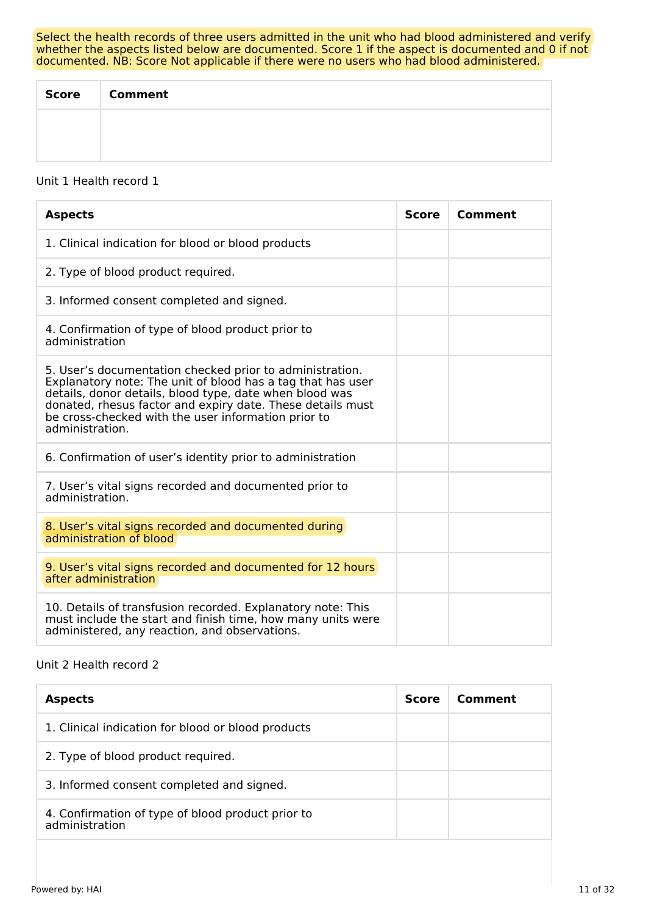Select the health records of three users admitted in the unit who had blood administered and verify whether the aspects listed below are documented. Score 1 if the aspect is documented and 0 if not documented. NB: Score Not applicable if there were no users who had blood administered.

| <b>Score</b> | <b>Comment</b> |
|--------------|----------------|
|              |                |
|              |                |

#### Unit 1 Health record 1

| <b>Aspects</b>                                                                                                                                                                                                                                                                                                             | <b>Score</b> | Comment |
|----------------------------------------------------------------------------------------------------------------------------------------------------------------------------------------------------------------------------------------------------------------------------------------------------------------------------|--------------|---------|
| 1. Clinical indication for blood or blood products                                                                                                                                                                                                                                                                         |              |         |
| 2. Type of blood product required.                                                                                                                                                                                                                                                                                         |              |         |
| 3. Informed consent completed and signed.                                                                                                                                                                                                                                                                                  |              |         |
| 4. Confirmation of type of blood product prior to<br>administration                                                                                                                                                                                                                                                        |              |         |
| 5. User's documentation checked prior to administration.<br>Explanatory note: The unit of blood has a tag that has user<br>details, donor details, blood type, date when blood was<br>donated, rhesus factor and expiry date. These details must<br>be cross-checked with the user information prior to<br>administration. |              |         |
| 6. Confirmation of user's identity prior to administration                                                                                                                                                                                                                                                                 |              |         |
| 7. User's vital signs recorded and documented prior to<br>administration.                                                                                                                                                                                                                                                  |              |         |
| 8. User's vital signs recorded and documented during<br>administration of blood                                                                                                                                                                                                                                            |              |         |
| 9. User's vital signs recorded and documented for 12 hours<br>after administration                                                                                                                                                                                                                                         |              |         |
| 10. Details of transfusion recorded. Explanatory note: This<br>must include the start and finish time, how many units were<br>administered, any reaction, and observations.                                                                                                                                                |              |         |

# Unit 2 Health record 2

| <b>Aspects</b>                                                      | <b>Score</b> | Comment |
|---------------------------------------------------------------------|--------------|---------|
| 1. Clinical indication for blood or blood products                  |              |         |
| 2. Type of blood product required.                                  |              |         |
| 3. Informed consent completed and signed.                           |              |         |
| 4. Confirmation of type of blood product prior to<br>administration |              |         |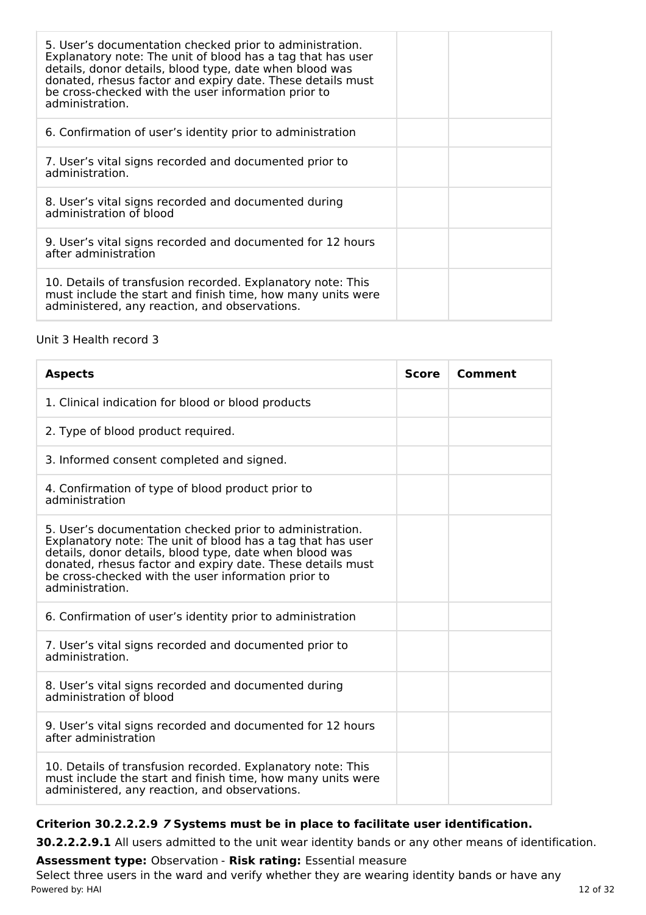| 5. User's documentation checked prior to administration.<br>Explanatory note: The unit of blood has a tag that has user<br>details, donor details, blood type, date when blood was<br>donated, rhesus factor and expiry date. These details must<br>be cross-checked with the user information prior to<br>administration. |
|----------------------------------------------------------------------------------------------------------------------------------------------------------------------------------------------------------------------------------------------------------------------------------------------------------------------------|
| 6. Confirmation of user's identity prior to administration                                                                                                                                                                                                                                                                 |
| 7. User's vital signs recorded and documented prior to<br>administration.                                                                                                                                                                                                                                                  |
| 8. User's vital signs recorded and documented during<br>administration of blood                                                                                                                                                                                                                                            |
| 9. User's vital signs recorded and documented for 12 hours<br>after administration                                                                                                                                                                                                                                         |
| 10. Details of transfusion recorded. Explanatory note: This<br>must include the start and finish time, how many units were<br>administered, any reaction, and observations.                                                                                                                                                |

# Unit 3 Health record 3

| <b>Aspects</b>                                                                                                                                                                                                                                                                                                             | <b>Score</b> | Comment |
|----------------------------------------------------------------------------------------------------------------------------------------------------------------------------------------------------------------------------------------------------------------------------------------------------------------------------|--------------|---------|
| 1. Clinical indication for blood or blood products                                                                                                                                                                                                                                                                         |              |         |
| 2. Type of blood product required.                                                                                                                                                                                                                                                                                         |              |         |
| 3. Informed consent completed and signed.                                                                                                                                                                                                                                                                                  |              |         |
| 4. Confirmation of type of blood product prior to<br>administration                                                                                                                                                                                                                                                        |              |         |
| 5. User's documentation checked prior to administration.<br>Explanatory note: The unit of blood has a tag that has user<br>details, donor details, blood type, date when blood was<br>donated, rhesus factor and expiry date. These details must<br>be cross-checked with the user information prior to<br>administration. |              |         |
| 6. Confirmation of user's identity prior to administration                                                                                                                                                                                                                                                                 |              |         |
| 7. User's vital signs recorded and documented prior to<br>administration.                                                                                                                                                                                                                                                  |              |         |
| 8. User's vital signs recorded and documented during<br>administration of blood                                                                                                                                                                                                                                            |              |         |
| 9. User's vital signs recorded and documented for 12 hours<br>after administration                                                                                                                                                                                                                                         |              |         |
| 10. Details of transfusion recorded. Explanatory note: This<br>must include the start and finish time, how many units were<br>administered, any reaction, and observations.                                                                                                                                                |              |         |

# **Criterion 30.2.2.2.9 7 Systems must be in place to facilitate user identification.**

**30.2.2.2.9.1** All users admitted to the unit wear identity bands or any other means of identification.

**Assessment type:** Observation - **Risk rating:** Essential measure Select three users in the ward and verify whether they are wearing identity bands or have any Powered by: HAI 12 of 32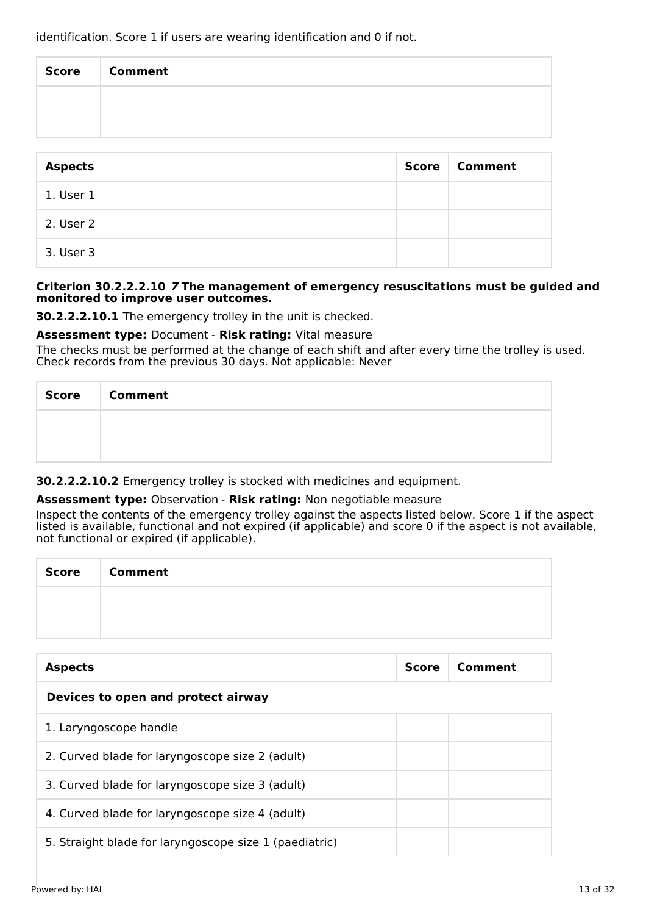identification. Score 1 if users are wearing identification and 0 if not.

| Score   Comment |
|-----------------|
|                 |
|                 |

| <b>Aspects</b> | <b>Score</b> | <b>Comment</b> |
|----------------|--------------|----------------|
| 1. User 1      |              |                |
| 2. User 2      |              |                |
| 3. User 3      |              |                |

#### **Criterion 30.2.2.2.10 7 The management of emergency resuscitations must be guided and monitored to improve user outcomes.**

**30.2.2.2.10.1** The emergency trolley in the unit is checked.

#### **Assessment type:** Document - **Risk rating:** Vital measure

The checks must be performed at the change of each shift and after every time the trolley is used. Check records from the previous 30 days. Not applicable: Never

| Score   Comment |
|-----------------|
|                 |
|                 |

**30.2.2.2.10.2** Emergency trolley is stocked with medicines and equipment.

#### **Assessment type:** Observation - **Risk rating:** Non negotiable measure

Inspect the contents of the emergency trolley against the aspects listed below. Score 1 if the aspect listed is available, functional and not expired (if applicable) and score 0 if the aspect is not available, not functional or expired (if applicable).

| Score Comment |
|---------------|
|               |
|               |

| <b>Aspects</b>                                         | <b>Score</b> | Comment |
|--------------------------------------------------------|--------------|---------|
| Devices to open and protect airway                     |              |         |
| 1. Laryngoscope handle                                 |              |         |
| 2. Curved blade for laryngoscope size 2 (adult)        |              |         |
| 3. Curved blade for laryngoscope size 3 (adult)        |              |         |
| 4. Curved blade for laryngoscope size 4 (adult)        |              |         |
| 5. Straight blade for laryngoscope size 1 (paediatric) |              |         |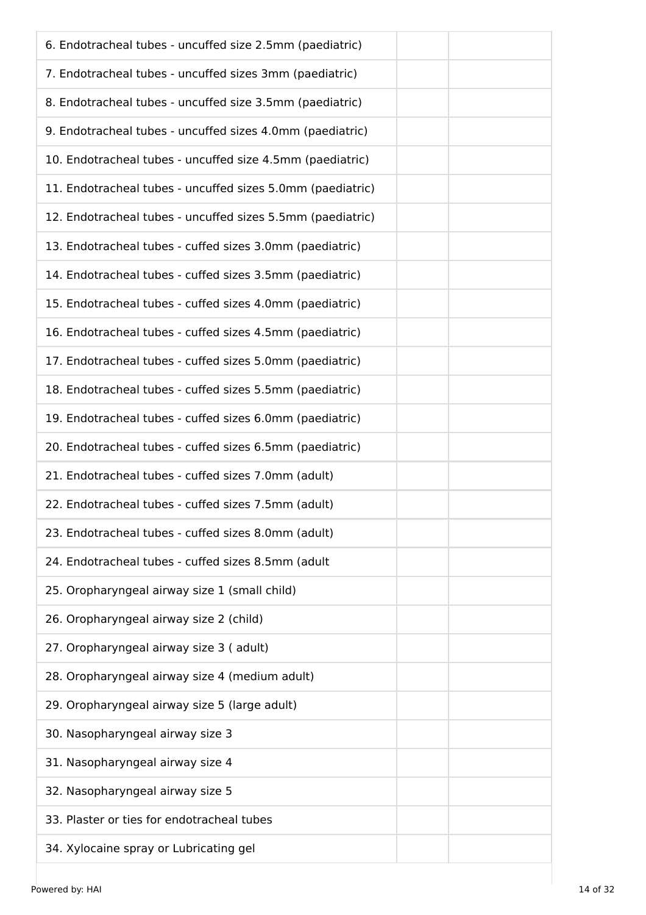| 6. Endotracheal tubes - uncuffed size 2.5mm (paediatric)   |
|------------------------------------------------------------|
| 7. Endotracheal tubes - uncuffed sizes 3mm (paediatric)    |
| 8. Endotracheal tubes - uncuffed size 3.5mm (paediatric)   |
| 9. Endotracheal tubes - uncuffed sizes 4.0mm (paediatric)  |
| 10. Endotracheal tubes - uncuffed size 4.5mm (paediatric)  |
| 11. Endotracheal tubes - uncuffed sizes 5.0mm (paediatric) |
| 12. Endotracheal tubes - uncuffed sizes 5.5mm (paediatric) |
| 13. Endotracheal tubes - cuffed sizes 3.0mm (paediatric)   |
| 14. Endotracheal tubes - cuffed sizes 3.5mm (paediatric)   |
| 15. Endotracheal tubes - cuffed sizes 4.0mm (paediatric)   |
| 16. Endotracheal tubes - cuffed sizes 4.5mm (paediatric)   |
| 17. Endotracheal tubes - cuffed sizes 5.0mm (paediatric)   |
| 18. Endotracheal tubes - cuffed sizes 5.5mm (paediatric)   |
| 19. Endotracheal tubes - cuffed sizes 6.0mm (paediatric)   |
| 20. Endotracheal tubes - cuffed sizes 6.5mm (paediatric)   |
| 21. Endotracheal tubes - cuffed sizes 7.0mm (adult)        |
| 22. Endotracheal tubes - cuffed sizes 7.5mm (adult)        |
| 23. Endotracheal tubes - cuffed sizes 8.0mm (adult)        |
| 24. Endotracheal tubes - cuffed sizes 8.5mm (adult         |
| 25. Oropharyngeal airway size 1 (small child)              |
| 26. Oropharyngeal airway size 2 (child)                    |
| 27. Oropharyngeal airway size 3 (adult)                    |
| 28. Oropharyngeal airway size 4 (medium adult)             |
| 29. Oropharyngeal airway size 5 (large adult)              |
| 30. Nasopharyngeal airway size 3                           |
| 31. Nasopharyngeal airway size 4                           |
| 32. Nasopharyngeal airway size 5                           |
| 33. Plaster or ties for endotracheal tubes                 |
| 34. Xylocaine spray or Lubricating gel                     |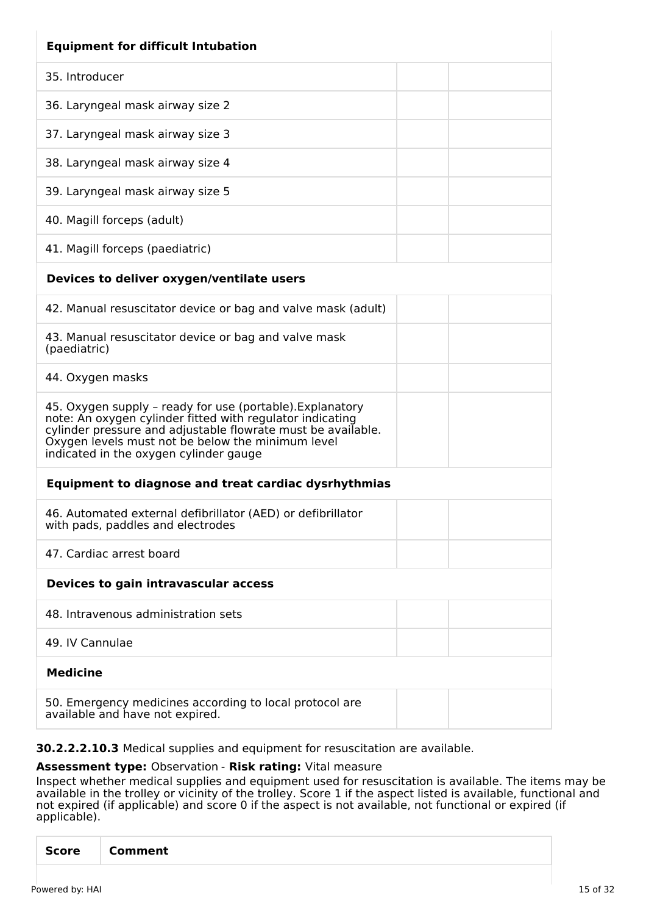| <b>Equipment for difficult Intubation</b>                                                                                                                                                                                                                                             |
|---------------------------------------------------------------------------------------------------------------------------------------------------------------------------------------------------------------------------------------------------------------------------------------|
| 35. Introducer                                                                                                                                                                                                                                                                        |
| 36. Laryngeal mask airway size 2                                                                                                                                                                                                                                                      |
| 37. Laryngeal mask airway size 3                                                                                                                                                                                                                                                      |
| 38. Laryngeal mask airway size 4                                                                                                                                                                                                                                                      |
| 39. Laryngeal mask airway size 5                                                                                                                                                                                                                                                      |
| 40. Magill forceps (adult)                                                                                                                                                                                                                                                            |
| 41. Magill forceps (paediatric)                                                                                                                                                                                                                                                       |
| Devices to deliver oxygen/ventilate users                                                                                                                                                                                                                                             |
| 42. Manual resuscitator device or bag and valve mask (adult)                                                                                                                                                                                                                          |
| 43. Manual resuscitator device or bag and valve mask<br>(paediatric)                                                                                                                                                                                                                  |
| 44. Oxygen masks                                                                                                                                                                                                                                                                      |
| 45. Oxygen supply - ready for use (portable). Explanatory<br>note: An oxygen cylinder fitted with regulator indicating<br>cylinder pressure and adjustable flowrate must be available.<br>Oxygen levels must not be below the minimum level<br>indicated in the oxygen cylinder gauge |
| <b>Equipment to diagnose and treat cardiac dysrhythmias</b>                                                                                                                                                                                                                           |
| 46. Automated external defibrillator (AED) or defibrillator<br>with pads, paddles and electrodes                                                                                                                                                                                      |
| 47. Cardiac arrest board                                                                                                                                                                                                                                                              |
| Devices to gain intravascular access                                                                                                                                                                                                                                                  |
| 48. Intravenous administration sets                                                                                                                                                                                                                                                   |
| 49. IV Cannulae                                                                                                                                                                                                                                                                       |
| <b>Medicine</b>                                                                                                                                                                                                                                                                       |
| 50. Emergency medicines according to local protocol are<br>available and have not expired.                                                                                                                                                                                            |

**30.2.2.2.10.3** Medical supplies and equipment for resuscitation are available.

# **Assessment type:** Observation - **Risk rating:** Vital measure

Inspect whether medical supplies and equipment used for resuscitation is available. The items may be available in the trolley or vicinity of the trolley. Score 1 if the aspect listed is available, functional and not expired (if applicable) and score 0 if the aspect is not available, not functional or expired (if applicable).

|--|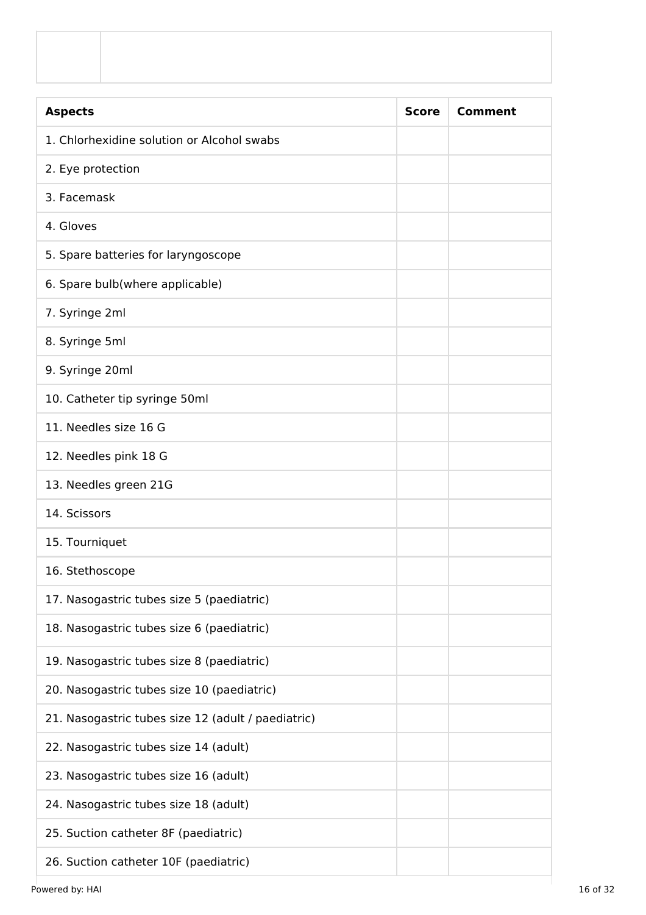| <b>Aspects</b>                                     | <b>Score</b> | <b>Comment</b> |
|----------------------------------------------------|--------------|----------------|
| 1. Chlorhexidine solution or Alcohol swabs         |              |                |
| 2. Eye protection                                  |              |                |
| 3. Facemask                                        |              |                |
| 4. Gloves                                          |              |                |
| 5. Spare batteries for laryngoscope                |              |                |
| 6. Spare bulb(where applicable)                    |              |                |
| 7. Syringe 2ml                                     |              |                |
| 8. Syringe 5ml                                     |              |                |
| 9. Syringe 20ml                                    |              |                |
| 10. Catheter tip syringe 50ml                      |              |                |
| 11. Needles size 16 G                              |              |                |
| 12. Needles pink 18 G                              |              |                |
| 13. Needles green 21G                              |              |                |
| 14. Scissors                                       |              |                |
| 15. Tourniquet                                     |              |                |
| 16. Stethoscope                                    |              |                |
| 17. Nasogastric tubes size 5 (paediatric)          |              |                |
| 18. Nasogastric tubes size 6 (paediatric)          |              |                |
| 19. Nasogastric tubes size 8 (paediatric)          |              |                |
| 20. Nasogastric tubes size 10 (paediatric)         |              |                |
| 21. Nasogastric tubes size 12 (adult / paediatric) |              |                |
| 22. Nasogastric tubes size 14 (adult)              |              |                |
| 23. Nasogastric tubes size 16 (adult)              |              |                |
| 24. Nasogastric tubes size 18 (adult)              |              |                |
| 25. Suction catheter 8F (paediatric)               |              |                |
| 26. Suction catheter 10F (paediatric)              |              |                |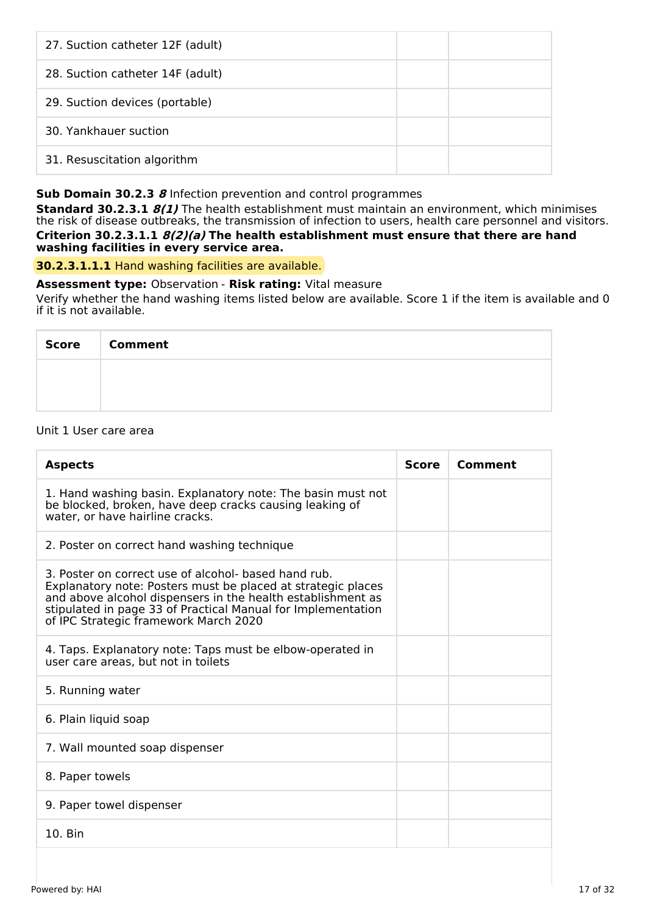| 27. Suction catheter 12F (adult) |  |
|----------------------------------|--|
| 28. Suction catheter 14F (adult) |  |
| 29. Suction devices (portable)   |  |
| 30. Yankhauer suction            |  |
| 31. Resuscitation algorithm      |  |

# **Sub Domain 30.2.3 8** Infection prevention and control programmes

**Standard 30.2.3.1 8(1)** The health establishment must maintain an environment, which minimises the risk of disease outbreaks, the transmission of infection to users, health care personnel and visitors. **Criterion 30.2.3.1.1 8(2)(a) The health establishment must ensure that there are hand washing facilities in every service area.**

**30.2.3.1.1.1** Hand washing facilities are available.

# **Assessment type:** Observation - **Risk rating:** Vital measure

Verify whether the hand washing items listed below are available. Score 1 if the item is available and 0 if it is not available.

| <b>Score</b> | <b>Comment</b> |
|--------------|----------------|
|              |                |
|              |                |

#### Unit 1 User care area

| <b>Aspects</b>                                                                                                                                                                                                                                                                               | <b>Score</b> | Comment |
|----------------------------------------------------------------------------------------------------------------------------------------------------------------------------------------------------------------------------------------------------------------------------------------------|--------------|---------|
| 1. Hand washing basin. Explanatory note: The basin must not<br>be blocked, broken, have deep cracks causing leaking of<br>water, or have hairline cracks.                                                                                                                                    |              |         |
| 2. Poster on correct hand washing technique                                                                                                                                                                                                                                                  |              |         |
| 3. Poster on correct use of alcohol- based hand rub.<br>Explanatory note: Posters must be placed at strategic places<br>and above alcohol dispensers in the health establishment as<br>stipulated in page 33 of Practical Manual for Implementation<br>of IPC Strategic framework March 2020 |              |         |
| 4. Taps. Explanatory note: Taps must be elbow-operated in<br>user care areas, but not in toilets                                                                                                                                                                                             |              |         |
| 5. Running water                                                                                                                                                                                                                                                                             |              |         |
| 6. Plain liquid soap                                                                                                                                                                                                                                                                         |              |         |
| 7. Wall mounted soap dispenser                                                                                                                                                                                                                                                               |              |         |
| 8. Paper towels                                                                                                                                                                                                                                                                              |              |         |
| 9. Paper towel dispenser                                                                                                                                                                                                                                                                     |              |         |
| 10. Bin                                                                                                                                                                                                                                                                                      |              |         |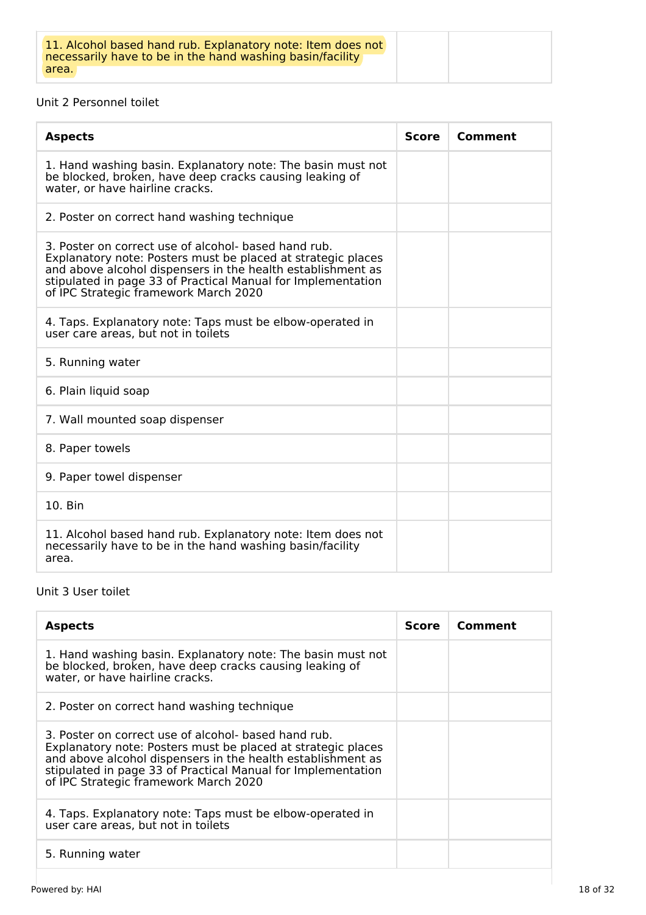# Unit 2 Personnel toilet

| <b>Aspects</b>                                                                                                                                                                                                                                                                               | <b>Score</b> | Comment |
|----------------------------------------------------------------------------------------------------------------------------------------------------------------------------------------------------------------------------------------------------------------------------------------------|--------------|---------|
| 1. Hand washing basin. Explanatory note: The basin must not<br>be blocked, broken, have deep cracks causing leaking of<br>water, or have hairline cracks.                                                                                                                                    |              |         |
| 2. Poster on correct hand washing technique                                                                                                                                                                                                                                                  |              |         |
| 3. Poster on correct use of alcohol- based hand rub.<br>Explanatory note: Posters must be placed at strategic places<br>and above alcohol dispensers in the health establishment as<br>stipulated in page 33 of Practical Manual for Implementation<br>of IPC Strategic framework March 2020 |              |         |
| 4. Taps. Explanatory note: Taps must be elbow-operated in<br>user care areas, but not in toilets                                                                                                                                                                                             |              |         |
| 5. Running water                                                                                                                                                                                                                                                                             |              |         |
| 6. Plain liquid soap                                                                                                                                                                                                                                                                         |              |         |
| 7. Wall mounted soap dispenser                                                                                                                                                                                                                                                               |              |         |
| 8. Paper towels                                                                                                                                                                                                                                                                              |              |         |
| 9. Paper towel dispenser                                                                                                                                                                                                                                                                     |              |         |
| 10. Bin                                                                                                                                                                                                                                                                                      |              |         |
| 11. Alcohol based hand rub. Explanatory note: Item does not<br>necessarily have to be in the hand washing basin/facility<br>area.                                                                                                                                                            |              |         |

# Unit 3 User toilet

| <b>Aspects</b>                                                                                                                                                                                                                                                                               | <b>Score</b> | Comment |
|----------------------------------------------------------------------------------------------------------------------------------------------------------------------------------------------------------------------------------------------------------------------------------------------|--------------|---------|
| 1. Hand washing basin. Explanatory note: The basin must not<br>be blocked, broken, have deep cracks causing leaking of<br>water, or have hairline cracks.                                                                                                                                    |              |         |
| 2. Poster on correct hand washing technique                                                                                                                                                                                                                                                  |              |         |
| 3. Poster on correct use of alcohol- based hand rub.<br>Explanatory note: Posters must be placed at strategic places<br>and above alcohol dispensers in the health establishment as<br>stipulated in page 33 of Practical Manual for Implementation<br>of IPC Strategic framework March 2020 |              |         |
| 4. Taps. Explanatory note: Taps must be elbow-operated in<br>user care areas, but not in toilets                                                                                                                                                                                             |              |         |
| 5. Running water                                                                                                                                                                                                                                                                             |              |         |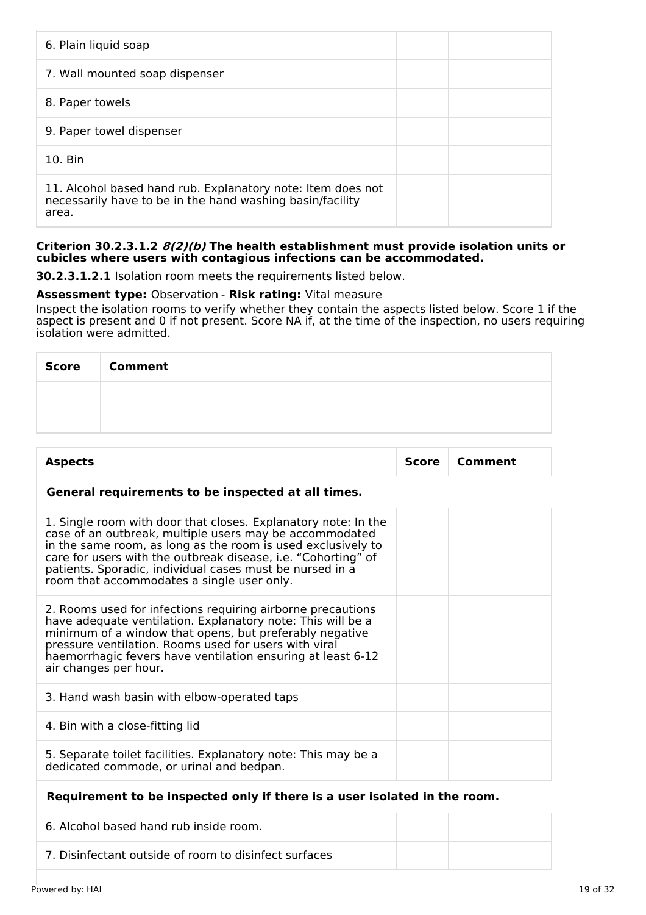| 6. Plain liquid soap                                                                                                              |  |
|-----------------------------------------------------------------------------------------------------------------------------------|--|
| 7. Wall mounted soap dispenser                                                                                                    |  |
| 8. Paper towels                                                                                                                   |  |
| 9. Paper towel dispenser                                                                                                          |  |
| 10. Bin                                                                                                                           |  |
| 11. Alcohol based hand rub. Explanatory note: Item does not<br>necessarily have to be in the hand washing basin/facility<br>area. |  |

#### **Criterion 30.2.3.1.2 8(2)(b) The health establishment must provide isolation units or cubicles where users with contagious infections can be accommodated.**

**30.2.3.1.2.1** Isolation room meets the requirements listed below.

# **Assessment type:** Observation - **Risk rating:** Vital measure

Inspect the isolation rooms to verify whether they contain the aspects listed below. Score 1 if the aspect is present and 0 if not present. Score NA if, at the time of the inspection, no users requiring isolation were admitted.

| <b>Score</b> | <b>Comment</b> |
|--------------|----------------|
|              |                |
|              |                |

| <b>Aspects</b>                                                                                                                                                                                                                                                                                                                                                       | <b>Score</b> | Comment |  |  |
|----------------------------------------------------------------------------------------------------------------------------------------------------------------------------------------------------------------------------------------------------------------------------------------------------------------------------------------------------------------------|--------------|---------|--|--|
| General requirements to be inspected at all times.                                                                                                                                                                                                                                                                                                                   |              |         |  |  |
| 1. Single room with door that closes. Explanatory note: In the<br>case of an outbreak, multiple users may be accommodated<br>in the same room, as long as the room is used exclusively to<br>care for users with the outbreak disease, i.e. "Cohorting" of<br>patients. Sporadic, individual cases must be nursed in a<br>room that accommodates a single user only. |              |         |  |  |
| 2. Rooms used for infections requiring airborne precautions<br>have adequate ventilation. Explanatory note: This will be a<br>minimum of a window that opens, but preferably negative<br>pressure ventilation. Rooms used for users with viral<br>haemorrhagic fevers have ventilation ensuring at least 6-12<br>air changes per hour.                               |              |         |  |  |
| 3. Hand wash basin with elbow-operated taps                                                                                                                                                                                                                                                                                                                          |              |         |  |  |
| 4. Bin with a close-fitting lid                                                                                                                                                                                                                                                                                                                                      |              |         |  |  |
| 5. Separate toilet facilities. Explanatory note: This may be a<br>dedicated commode, or urinal and bedpan.                                                                                                                                                                                                                                                           |              |         |  |  |
| Requirement to be inspected only if there is a user isolated in the room.                                                                                                                                                                                                                                                                                            |              |         |  |  |
| 6. Alcohol based hand rub inside room.                                                                                                                                                                                                                                                                                                                               |              |         |  |  |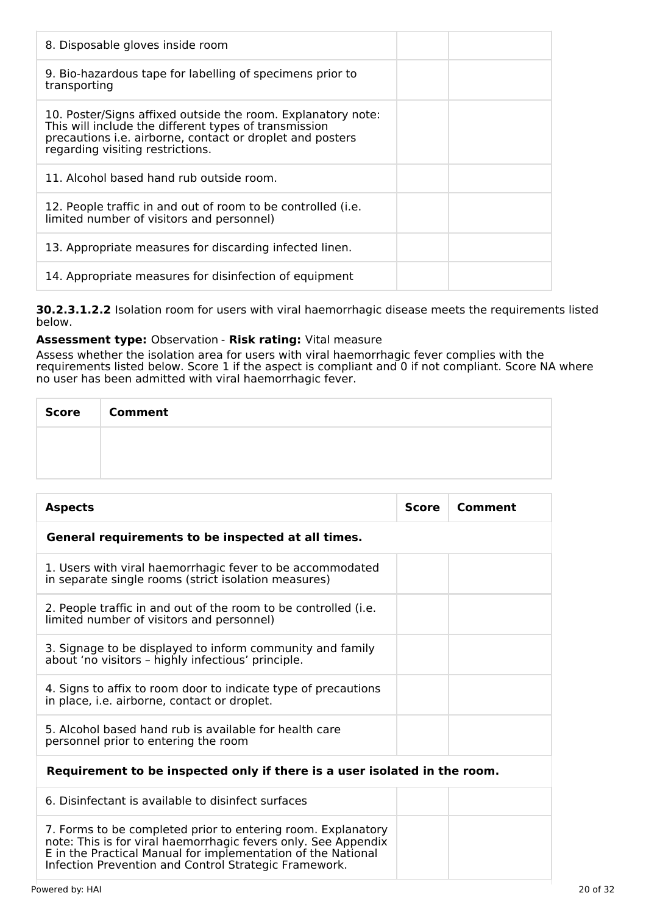| 8. Disposable gloves inside room                                                                                                                                                                                       |  |
|------------------------------------------------------------------------------------------------------------------------------------------------------------------------------------------------------------------------|--|
| 9. Bio-hazardous tape for labelling of specimens prior to<br>transporting                                                                                                                                              |  |
| 10. Poster/Signs affixed outside the room. Explanatory note:<br>This will include the different types of transmission<br>precautions i.e. airborne, contact or droplet and posters<br>regarding visiting restrictions. |  |
| 11. Alcohol based hand rub outside room.                                                                                                                                                                               |  |
| 12. People traffic in and out of room to be controlled ( <i>i.e.</i><br>limited number of visitors and personnel)                                                                                                      |  |
| 13. Appropriate measures for discarding infected linen.                                                                                                                                                                |  |
| 14. Appropriate measures for disinfection of equipment                                                                                                                                                                 |  |

**30.2.3.1.2.2** Isolation room for users with viral haemorrhagic disease meets the requirements listed below.

# **Assessment type:** Observation - **Risk rating:** Vital measure

Assess whether the isolation area for users with viral haemorrhagic fever complies with the requirements listed below. Score 1 if the aspect is compliant and 0 if not compliant. Score NA where no user has been admitted with viral haemorrhagic fever.

| <b>Score</b> | <b>Comment</b> |
|--------------|----------------|
|              |                |
|              |                |

| <b>Aspects</b>                                                                                                                                                                                 | <b>Score</b> | Comment |  |  |
|------------------------------------------------------------------------------------------------------------------------------------------------------------------------------------------------|--------------|---------|--|--|
| General requirements to be inspected at all times.                                                                                                                                             |              |         |  |  |
| 1. Users with viral haemorrhagic fever to be accommodated<br>in separate single rooms (strict isolation measures)                                                                              |              |         |  |  |
| 2. People traffic in and out of the room to be controlled (i.e.<br>limited number of visitors and personnel)                                                                                   |              |         |  |  |
| 3. Signage to be displayed to inform community and family<br>about 'no visitors - highly infectious' principle.                                                                                |              |         |  |  |
| 4. Signs to affix to room door to indicate type of precautions<br>in place, i.e. airborne, contact or droplet.                                                                                 |              |         |  |  |
| 5. Alcohol based hand rub is available for health care<br>personnel prior to entering the room                                                                                                 |              |         |  |  |
| Requirement to be inspected only if there is a user isolated in the room.                                                                                                                      |              |         |  |  |
| 6. Disinfectant is available to disinfect surfaces                                                                                                                                             |              |         |  |  |
| 7. Forms to be completed prior to entering room. Explanatory<br>note: This is for viral haemorrhagic fevers only. See Appendix<br>E in the Practical Manual for implementation of the National |              |         |  |  |

Infection Prevention and Control Strategic Framework.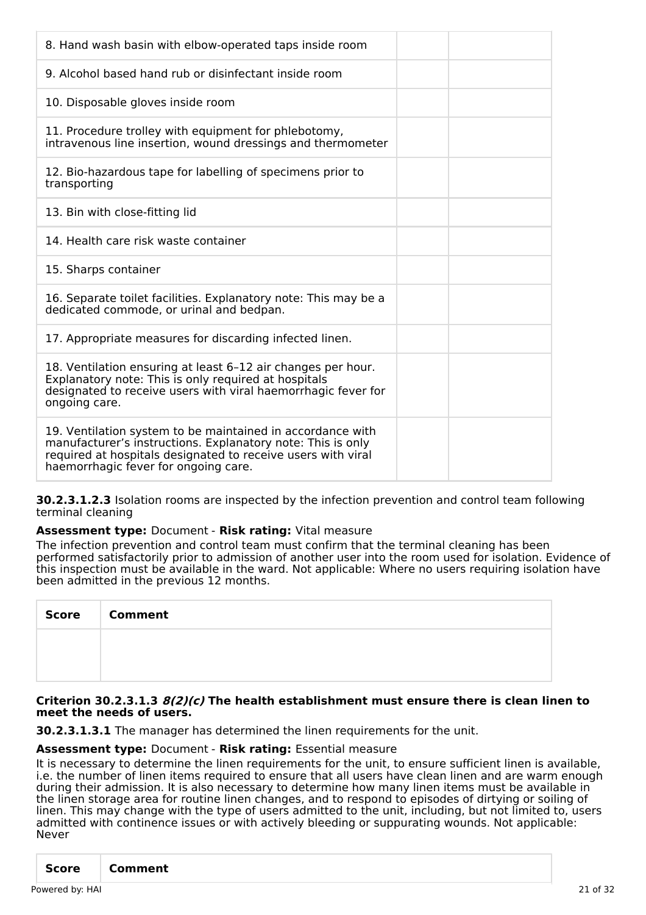| 8. Hand wash basin with elbow-operated taps inside room                                                                                                                                                |
|--------------------------------------------------------------------------------------------------------------------------------------------------------------------------------------------------------|
| 9. Alcohol based hand rub or disinfectant inside room                                                                                                                                                  |
| 10. Disposable gloves inside room                                                                                                                                                                      |
| 11. Procedure trolley with equipment for phlebotomy,<br>intravenous line insertion, wound dressings and thermometer                                                                                    |
| 12. Bio-hazardous tape for labelling of specimens prior to<br>transporting                                                                                                                             |
| 13. Bin with close-fitting lid                                                                                                                                                                         |
| 14. Health care risk waste container                                                                                                                                                                   |
| 15. Sharps container                                                                                                                                                                                   |
|                                                                                                                                                                                                        |
| 16. Separate toilet facilities. Explanatory note: This may be a<br>dedicated commode, or urinal and bedpan.                                                                                            |
| 17. Appropriate measures for discarding infected linen.                                                                                                                                                |
| 18. Ventilation ensuring at least 6-12 air changes per hour.<br>Explanatory note: This is only required at hospitals<br>designated to receive users with viral haemorrhagic fever for<br>ongoing care. |

**30.2.3.1.2.3** Isolation rooms are inspected by the infection prevention and control team following terminal cleaning

#### **Assessment type:** Document - **Risk rating:** Vital measure

The infection prevention and control team must confirm that the terminal cleaning has been performed satisfactorily prior to admission of another user into the room used for isolation. Evidence of this inspection must be available in the ward. Not applicable: Where no users requiring isolation have been admitted in the previous 12 months.

| <b>Score</b> | <b>Comment</b> |
|--------------|----------------|
|              |                |
|              |                |

#### **Criterion 30.2.3.1.3 8(2)(c) The health establishment must ensure there is clean linen to meet the needs of users.**

**30.2.3.1.3.1** The manager has determined the linen requirements for the unit.

#### **Assessment type:** Document - **Risk rating:** Essential measure

It is necessary to determine the linen requirements for the unit, to ensure sufficient linen is available, i.e. the number of linen items required to ensure that all users have clean linen and are warm enough during their admission. It is also necessary to determine how many linen items must be available in the linen storage area for routine linen changes, and to respond to episodes of dirtying or soiling of linen. This may change with the type of users admitted to the unit, including, but not limited to, users admitted with continence issues or with actively bleeding or suppurating wounds. Not applicable: Never

| Score<br>  Comment |
|--------------------|
|--------------------|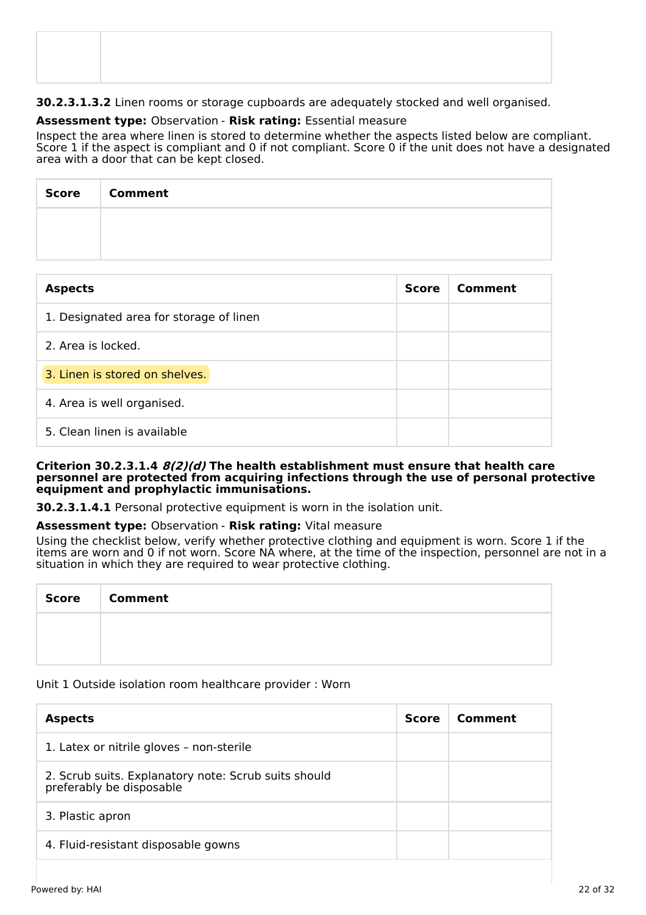# **30.2.3.1.3.2** Linen rooms or storage cupboards are adequately stocked and well organised.

# **Assessment type:** Observation - **Risk rating:** Essential measure

Inspect the area where linen is stored to determine whether the aspects listed below are compliant. Score 1 if the aspect is compliant and 0 if not compliant. Score 0 if the unit does not have a designated area with a door that can be kept closed.

| Score   Comment |
|-----------------|
|                 |
|                 |

| <b>Aspects</b>                          | <b>Score</b> | Comment |
|-----------------------------------------|--------------|---------|
| 1. Designated area for storage of linen |              |         |
| 2. Area is locked.                      |              |         |
| 3. Linen is stored on shelves.          |              |         |
| 4. Area is well organised.              |              |         |
| 5. Clean linen is available             |              |         |

#### **Criterion 30.2.3.1.4 8(2)(d) The health establishment must ensure that health care personnel are protected from acquiring infections through the use of personal protective equipment and prophylactic immunisations.**

**30.2.3.1.4.1** Personal protective equipment is worn in the isolation unit.

#### **Assessment type:** Observation - **Risk rating:** Vital measure

Using the checklist below, verify whether protective clothing and equipment is worn. Score 1 if the items are worn and 0 if not worn. Score NA where, at the time of the inspection, personnel are not in a situation in which they are required to wear protective clothing.

| Score   Comment |
|-----------------|
|                 |
|                 |

#### Unit 1 Outside isolation room healthcare provider : Worn

| <b>Aspects</b>                                                                   | <b>Score</b> | Comment |
|----------------------------------------------------------------------------------|--------------|---------|
| 1. Latex or nitrile gloves - non-sterile                                         |              |         |
| 2. Scrub suits. Explanatory note: Scrub suits should<br>preferably be disposable |              |         |
| 3. Plastic apron                                                                 |              |         |
| 4. Fluid-resistant disposable gowns                                              |              |         |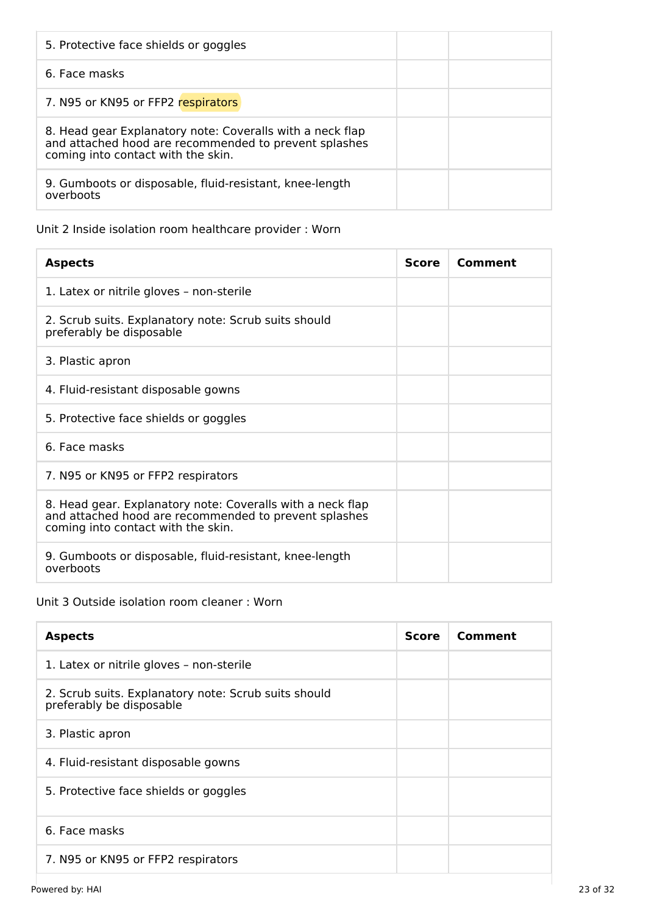| 5. Protective face shields or goggles                                                                                                                    |  |
|----------------------------------------------------------------------------------------------------------------------------------------------------------|--|
| 6. Face masks                                                                                                                                            |  |
| 7. N95 or KN95 or FFP2 respirators                                                                                                                       |  |
| 8. Head gear Explanatory note: Coveralls with a neck flap<br>and attached hood are recommended to prevent splashes<br>coming into contact with the skin. |  |
| 9. Gumboots or disposable, fluid-resistant, knee-length<br>overboots                                                                                     |  |

# Unit 2 Inside isolation room healthcare provider : Worn

| <b>Aspects</b>                                                                                                                                            | <b>Score</b> | Comment |
|-----------------------------------------------------------------------------------------------------------------------------------------------------------|--------------|---------|
| 1. Latex or nitrile gloves - non-sterile                                                                                                                  |              |         |
| 2. Scrub suits. Explanatory note: Scrub suits should<br>preferably be disposable                                                                          |              |         |
| 3. Plastic apron                                                                                                                                          |              |         |
| 4. Fluid-resistant disposable gowns                                                                                                                       |              |         |
| 5. Protective face shields or goggles                                                                                                                     |              |         |
| 6. Face masks                                                                                                                                             |              |         |
| 7. N95 or KN95 or FFP2 respirators                                                                                                                        |              |         |
| 8. Head gear. Explanatory note: Coveralls with a neck flap<br>and attached hood are recommended to prevent splashes<br>coming into contact with the skin. |              |         |
| 9. Gumboots or disposable, fluid-resistant, knee-length<br>overboots                                                                                      |              |         |

# Unit 3 Outside isolation room cleaner : Worn

| <b>Aspects</b>                                                                   | <b>Score</b> | Comment |
|----------------------------------------------------------------------------------|--------------|---------|
| 1. Latex or nitrile gloves - non-sterile                                         |              |         |
| 2. Scrub suits. Explanatory note: Scrub suits should<br>preferably be disposable |              |         |
| 3. Plastic apron                                                                 |              |         |
| 4. Fluid-resistant disposable gowns                                              |              |         |
| 5. Protective face shields or goggles                                            |              |         |
| 6. Face masks                                                                    |              |         |
| 7. N95 or KN95 or FFP2 respirators                                               |              |         |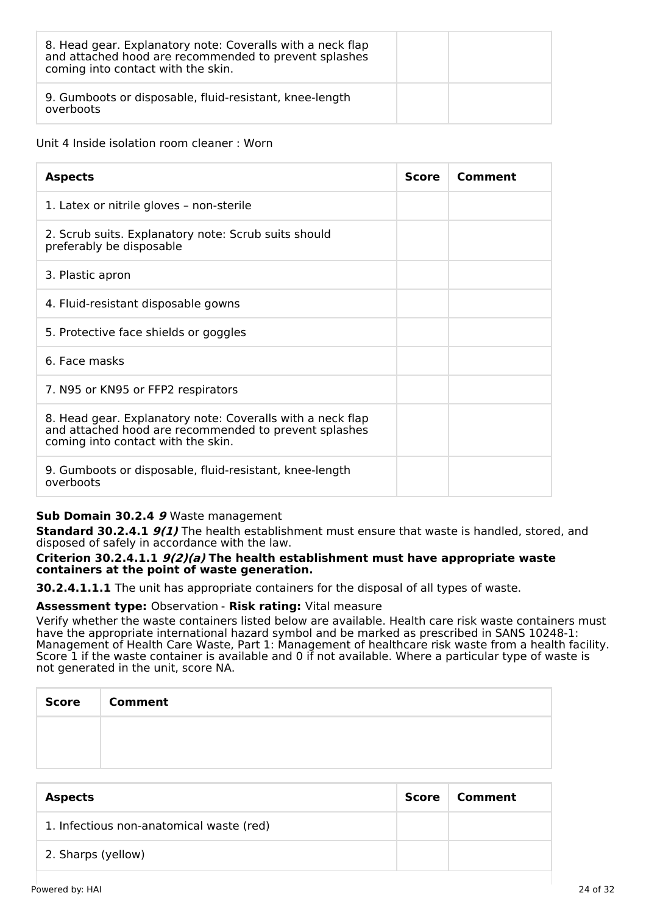| 8. Head gear. Explanatory note: Coveralls with a neck flap<br>and attached hood are recommended to prevent splashes<br>coming into contact with the skin. |  |
|-----------------------------------------------------------------------------------------------------------------------------------------------------------|--|
| 9. Gumboots or disposable, fluid-resistant, knee-length<br>overboots                                                                                      |  |

#### Unit 4 Inside isolation room cleaner : Worn

| <b>Aspects</b>                                                                                                                                            | <b>Score</b> | Comment |
|-----------------------------------------------------------------------------------------------------------------------------------------------------------|--------------|---------|
| 1. Latex or nitrile gloves - non-sterile                                                                                                                  |              |         |
| 2. Scrub suits. Explanatory note: Scrub suits should<br>preferably be disposable                                                                          |              |         |
| 3. Plastic apron                                                                                                                                          |              |         |
| 4. Fluid-resistant disposable gowns                                                                                                                       |              |         |
| 5. Protective face shields or goggles                                                                                                                     |              |         |
| 6. Face masks                                                                                                                                             |              |         |
| 7. N95 or KN95 or FFP2 respirators                                                                                                                        |              |         |
| 8. Head gear. Explanatory note: Coveralls with a neck flap<br>and attached hood are recommended to prevent splashes<br>coming into contact with the skin. |              |         |
| 9. Gumboots or disposable, fluid-resistant, knee-length<br>overboots                                                                                      |              |         |

# **Sub Domain 30.2.4 9** Waste management

**Standard 30.2.4.1 9(1)** The health establishment must ensure that waste is handled, stored, and disposed of safely in accordance with the law.

#### **Criterion 30.2.4.1.1 9(2)(a) The health establishment must have appropriate waste containers at the point of waste generation.**

**30.2.4.1.1.1** The unit has appropriate containers for the disposal of all types of waste.

#### **Assessment type:** Observation - **Risk rating:** Vital measure

Verify whether the waste containers listed below are available. Health care risk waste containers must have the appropriate international hazard symbol and be marked as prescribed in SANS 10248-1: Management of Health Care Waste, Part 1: Management of healthcare risk waste from a health facility. Score 1 if the waste container is available and 0 if not available. Where a particular type of waste is not generated in the unit, score NA.

| <b>Score</b> | <b>Comment</b> |
|--------------|----------------|
|              |                |
|              |                |

| <b>Aspects</b>                           | Score | Comment |
|------------------------------------------|-------|---------|
| 1. Infectious non-anatomical waste (red) |       |         |
| 2. Sharps (yellow)                       |       |         |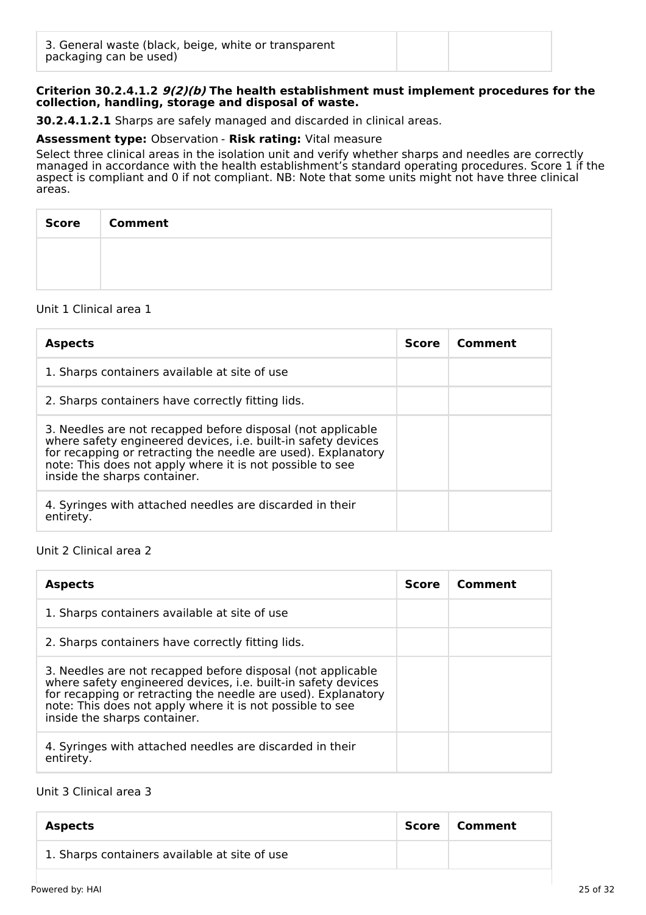#### **Criterion 30.2.4.1.2 9(2)(b) The health establishment must implement procedures for the collection, handling, storage and disposal of waste.**

**30.2.4.1.2.1** Sharps are safely managed and discarded in clinical areas.

#### **Assessment type:** Observation - **Risk rating:** Vital measure

Select three clinical areas in the isolation unit and verify whether sharps and needles are correctly managed in accordance with the health establishment's standard operating procedures. Score 1 if the aspect is compliant and 0 if not compliant. NB: Note that some units might not have three clinical areas.

| <b>Score</b> | <b>Comment</b> |
|--------------|----------------|
|              |                |
|              |                |

#### Unit 1 Clinical area 1

| <b>Aspects</b>                                                                                                                                                                                                                                                                             | <b>Score</b> | Comment |
|--------------------------------------------------------------------------------------------------------------------------------------------------------------------------------------------------------------------------------------------------------------------------------------------|--------------|---------|
| 1. Sharps containers available at site of use                                                                                                                                                                                                                                              |              |         |
| 2. Sharps containers have correctly fitting lids.                                                                                                                                                                                                                                          |              |         |
| 3. Needles are not recapped before disposal (not applicable<br>where safety engineered devices, i.e. built-in safety devices<br>for recapping or retracting the needle are used). Explanatory<br>note: This does not apply where it is not possible to see<br>inside the sharps container. |              |         |
| 4. Syringes with attached needles are discarded in their<br>entirety.                                                                                                                                                                                                                      |              |         |

#### Unit 2 Clinical area 2

| <b>Aspects</b>                                                                                                                                                                                                                                                                             | <b>Score</b> | Comment |
|--------------------------------------------------------------------------------------------------------------------------------------------------------------------------------------------------------------------------------------------------------------------------------------------|--------------|---------|
| 1. Sharps containers available at site of use                                                                                                                                                                                                                                              |              |         |
| 2. Sharps containers have correctly fitting lids.                                                                                                                                                                                                                                          |              |         |
| 3. Needles are not recapped before disposal (not applicable<br>where safety engineered devices, i.e. built-in safety devices<br>for recapping or retracting the needle are used). Explanatory<br>note: This does not apply where it is not possible to see<br>inside the sharps container. |              |         |
| 4. Syringes with attached needles are discarded in their<br>entirety.                                                                                                                                                                                                                      |              |         |

#### Unit 3 Clinical area 3

| <b>Aspects</b>                                | Score | ∣ Comment |
|-----------------------------------------------|-------|-----------|
| 1. Sharps containers available at site of use |       |           |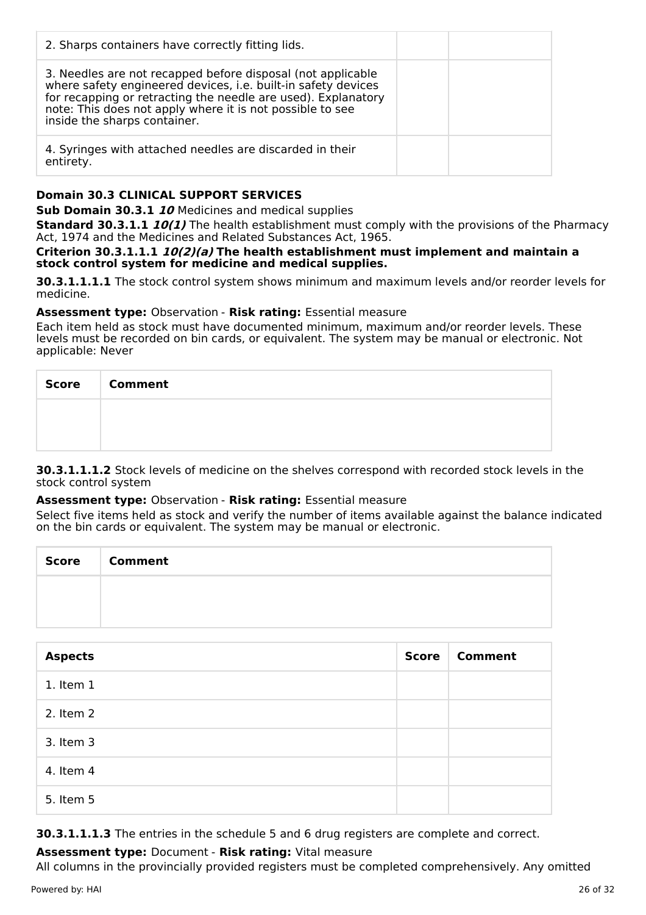| 2. Sharps containers have correctly fitting lids.                                                                                                                                                                                                                                          |  |
|--------------------------------------------------------------------------------------------------------------------------------------------------------------------------------------------------------------------------------------------------------------------------------------------|--|
| 3. Needles are not recapped before disposal (not applicable<br>where safety engineered devices, i.e. built-in safety devices<br>for recapping or retracting the needle are used). Explanatory<br>note: This does not apply where it is not possible to see<br>inside the sharps container. |  |
| 4. Syringes with attached needles are discarded in their<br>entirety.                                                                                                                                                                                                                      |  |

# **Domain 30.3 CLINICAL SUPPORT SERVICES**

**Sub Domain 30.3.1 10** Medicines and medical supplies

**Standard 30.3.1.1 10(1)** The health establishment must comply with the provisions of the Pharmacy Act, 1974 and the Medicines and Related Substances Act, 1965.

#### **Criterion 30.3.1.1.1 10(2)(a) The health establishment must implement and maintain a stock control system for medicine and medical supplies.**

**30.3.1.1.1.1** The stock control system shows minimum and maximum levels and/or reorder levels for medicine.

#### **Assessment type:** Observation - **Risk rating:** Essential measure

Each item held as stock must have documented minimum, maximum and/or reorder levels. These levels must be recorded on bin cards, or equivalent. The system may be manual or electronic. Not applicable: Never

| Score Comment |
|---------------|
|               |
|               |

**30.3.1.1.1.2** Stock levels of medicine on the shelves correspond with recorded stock levels in the stock control system

#### **Assessment type:** Observation - **Risk rating:** Essential measure

Select five items held as stock and verify the number of items available against the balance indicated on the bin cards or equivalent. The system may be manual or electronic.

| Score   Comment |
|-----------------|
|                 |
|                 |

| <b>Aspects</b> | <b>Score</b> | <b>Comment</b> |
|----------------|--------------|----------------|
| 1. Item 1      |              |                |
| 2. Item 2      |              |                |
| 3. Item 3      |              |                |
| 4. Item 4      |              |                |
| 5. Item 5      |              |                |

**30.3.1.1.1.3** The entries in the schedule 5 and 6 drug registers are complete and correct.

# **Assessment type:** Document - **Risk rating:** Vital measure

All columns in the provincially provided registers must be completed comprehensively. Any omitted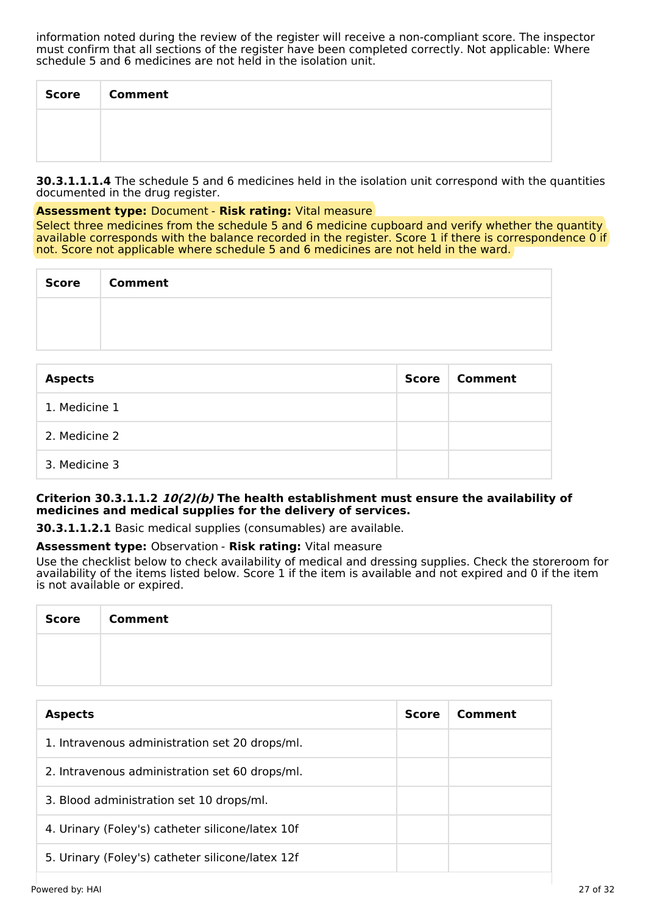information noted during the review of the register will receive a non-compliant score. The inspector must confirm that all sections of the register have been completed correctly. Not applicable: Where schedule 5 and 6 medicines are not held in the isolation unit.

| <b>Score</b> | <b>Comment</b> |
|--------------|----------------|
|              |                |
|              |                |

**30.3.1.1.1.4** The schedule 5 and 6 medicines held in the isolation unit correspond with the quantities documented in the drug register.

#### **Assessment type:** Document - **Risk rating:** Vital measure

Select three medicines from the schedule 5 and 6 medicine cupboard and verify whether the quantity available corresponds with the balance recorded in the register. Score 1 if there is correspondence 0 if not. Score not applicable where schedule 5 and 6 medicines are not held in the ward.

| <b>Score</b> | <b>Comment</b> |
|--------------|----------------|
|              |                |
|              |                |

| <b>Aspects</b> | <b>Score</b> | Comment |
|----------------|--------------|---------|
| 1. Medicine 1  |              |         |
| 2. Medicine 2  |              |         |
| 3. Medicine 3  |              |         |

#### **Criterion 30.3.1.1.2 10(2)(b) The health establishment must ensure the availability of medicines and medical supplies for the delivery of services.**

**30.3.1.1.2.1** Basic medical supplies (consumables) are available.

#### **Assessment type:** Observation - **Risk rating:** Vital measure

Use the checklist below to check availability of medical and dressing supplies. Check the storeroom for availability of the items listed below. Score 1 if the item is available and not expired and 0 if the item is not available or expired.

| <b>Score</b> | <b>Comment</b> |
|--------------|----------------|
|              |                |
|              |                |

| <b>Aspects</b>                                   | <b>Score</b> | Comment |
|--------------------------------------------------|--------------|---------|
| 1. Intravenous administration set 20 drops/ml.   |              |         |
| 2. Intravenous administration set 60 drops/ml.   |              |         |
| 3. Blood administration set 10 drops/ml.         |              |         |
| 4. Urinary (Foley's) catheter silicone/latex 10f |              |         |
| 5. Urinary (Foley's) catheter silicone/latex 12f |              |         |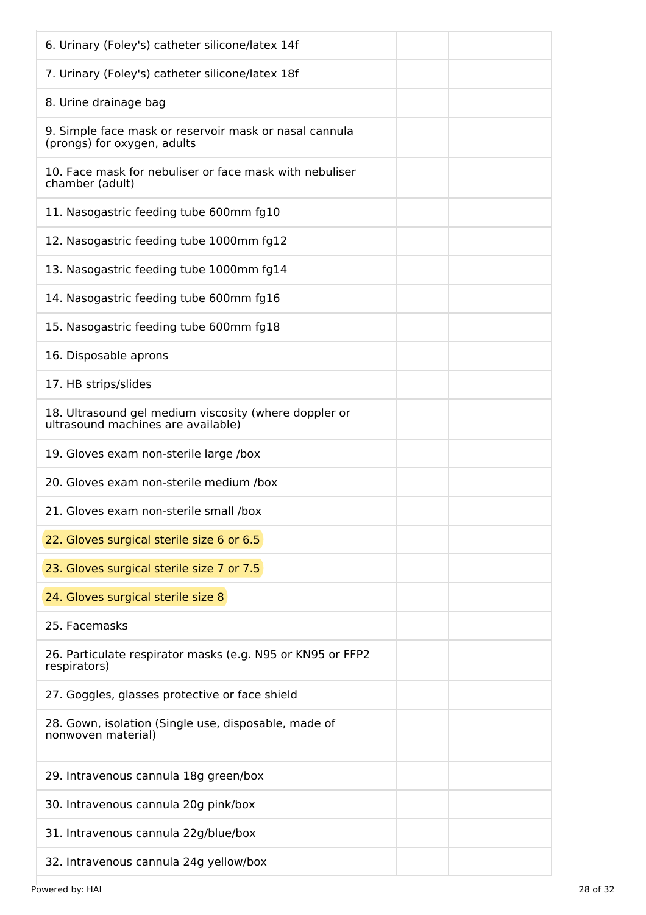| 6. Urinary (Foley's) catheter silicone/latex 14f                                            |
|---------------------------------------------------------------------------------------------|
| 7. Urinary (Foley's) catheter silicone/latex 18f                                            |
| 8. Urine drainage bag                                                                       |
| 9. Simple face mask or reservoir mask or nasal cannula<br>(prongs) for oxygen, adults       |
| 10. Face mask for nebuliser or face mask with nebuliser<br>chamber (adult)                  |
| 11. Nasogastric feeding tube 600mm fg10                                                     |
| 12. Nasogastric feeding tube 1000mm fg12                                                    |
| 13. Nasogastric feeding tube 1000mm fg14                                                    |
| 14. Nasogastric feeding tube 600mm fg16                                                     |
| 15. Nasogastric feeding tube 600mm fg18                                                     |
| 16. Disposable aprons                                                                       |
| 17. HB strips/slides                                                                        |
| 18. Ultrasound gel medium viscosity (where doppler or<br>ultrasound machines are available) |
| 19. Gloves exam non-sterile large /box                                                      |
| 20. Gloves exam non-sterile medium /box                                                     |
| 21. Gloves exam non-sterile small /box                                                      |
| 22. Gloves surgical sterile size 6 or 6.5                                                   |
| 23. Gloves surgical sterile size 7 or 7.5                                                   |
| 24. Gloves surgical sterile size 8                                                          |
| 25. Facemasks                                                                               |
| 26. Particulate respirator masks (e.g. N95 or KN95 or FFP2<br>respirators)                  |
| 27. Goggles, glasses protective or face shield                                              |
| 28. Gown, isolation (Single use, disposable, made of<br>nonwoven material)                  |
| 29. Intravenous cannula 18g green/box                                                       |
| 30. Intravenous cannula 20g pink/box                                                        |
| 31. Intravenous cannula 22g/blue/box                                                        |
| 32. Intravenous cannula 24g yellow/box                                                      |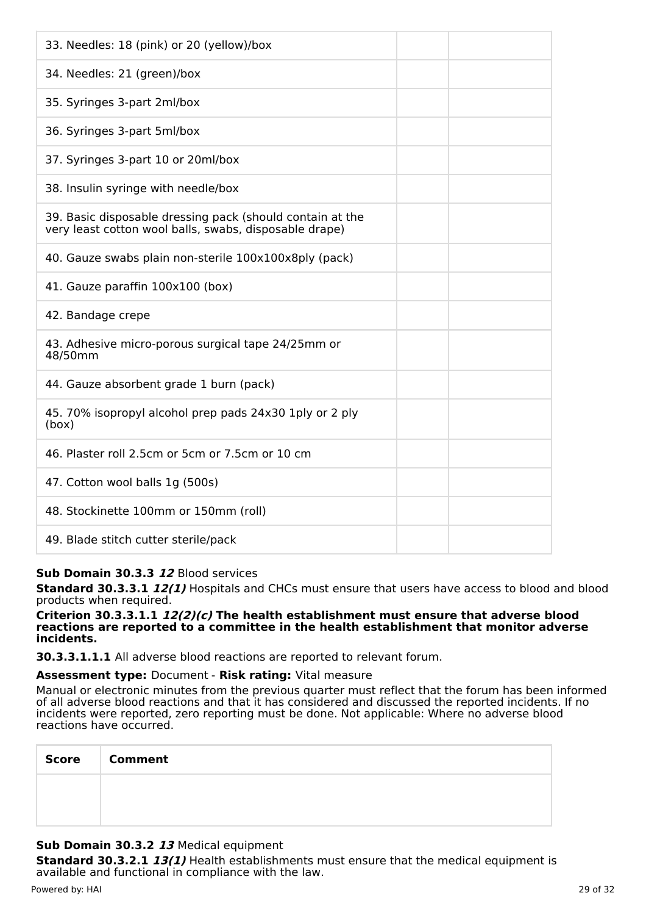| 33. Needles: 18 (pink) or 20 (yellow)/box                                                                           |  |
|---------------------------------------------------------------------------------------------------------------------|--|
| 34. Needles: 21 (green)/box                                                                                         |  |
| 35. Syringes 3-part 2ml/box                                                                                         |  |
| 36. Syringes 3-part 5ml/box                                                                                         |  |
| 37. Syringes 3-part 10 or 20ml/box                                                                                  |  |
| 38. Insulin syringe with needle/box                                                                                 |  |
| 39. Basic disposable dressing pack (should contain at the<br>very least cotton wool balls, swabs, disposable drape) |  |
| 40. Gauze swabs plain non-sterile 100x100x8ply (pack)                                                               |  |
| 41. Gauze paraffin 100x100 (box)                                                                                    |  |
| 42. Bandage crepe                                                                                                   |  |
| 43. Adhesive micro-porous surgical tape 24/25mm or<br>48/50mm                                                       |  |
| 44. Gauze absorbent grade 1 burn (pack)                                                                             |  |
| 45. 70% isopropyl alcohol prep pads 24x30 1ply or 2 ply<br>(box)                                                    |  |
| 46. Plaster roll 2.5cm or 5cm or 7.5cm or 10 cm                                                                     |  |
| 47. Cotton wool balls 1g (500s)                                                                                     |  |
| 48. Stockinette 100mm or 150mm (roll)                                                                               |  |
| 49. Blade stitch cutter sterile/pack                                                                                |  |

# **Sub Domain 30.3.3 12** Blood services

**Standard 30.3.3.1 12(1)** Hospitals and CHCs must ensure that users have access to blood and blood products when required.

#### **Criterion 30.3.3.1.1 12(2)(c) The health establishment must ensure that adverse blood reactions are reported to a committee in the health establishment that monitor adverse incidents.**

**30.3.3.1.1.1** All adverse blood reactions are reported to relevant forum.

# **Assessment type:** Document - **Risk rating:** Vital measure

Manual or electronic minutes from the previous quarter must reflect that the forum has been informed of all adverse blood reactions and that it has considered and discussed the reported incidents. If no incidents were reported, zero reporting must be done. Not applicable: Where no adverse blood reactions have occurred.

| Score | <b>Comment</b> |
|-------|----------------|
|       |                |
|       |                |

# **Sub Domain 30.3.2 13** Medical equipment

**Standard 30.3.2.1 13(1)** Health establishments must ensure that the medical equipment is available and functional in compliance with the law.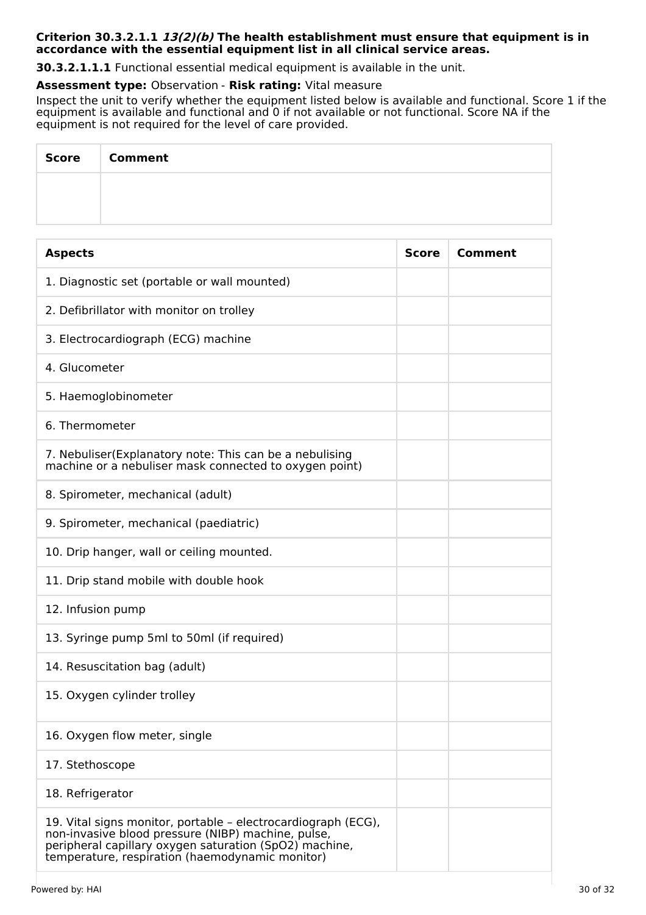#### **Criterion 30.3.2.1.1 13(2)(b) The health establishment must ensure that equipment is in accordance with the essential equipment list in all clinical service areas.**

**30.3.2.1.1.1** Functional essential medical equipment is available in the unit.

#### **Assessment type:** Observation - **Risk rating:** Vital measure

Inspect the unit to verify whether the equipment listed below is available and functional. Score 1 if the equipment is available and functional and 0 if not available or not functional. Score NA if the equipment is not required for the level of care provided.

| <b>Score</b> | <b>Comment</b> |
|--------------|----------------|
|              |                |
|              |                |

| <b>Aspects</b>                                                                                                                                                                                                                   | <b>Score</b> | Comment |
|----------------------------------------------------------------------------------------------------------------------------------------------------------------------------------------------------------------------------------|--------------|---------|
| 1. Diagnostic set (portable or wall mounted)                                                                                                                                                                                     |              |         |
| 2. Defibrillator with monitor on trolley                                                                                                                                                                                         |              |         |
| 3. Electrocardiograph (ECG) machine                                                                                                                                                                                              |              |         |
| 4. Glucometer                                                                                                                                                                                                                    |              |         |
| 5. Haemoglobinometer                                                                                                                                                                                                             |              |         |
| 6. Thermometer                                                                                                                                                                                                                   |              |         |
| 7. Nebuliser (Explanatory note: This can be a nebulising<br>machine or a nebuliser mask connected to oxygen point)                                                                                                               |              |         |
| 8. Spirometer, mechanical (adult)                                                                                                                                                                                                |              |         |
| 9. Spirometer, mechanical (paediatric)                                                                                                                                                                                           |              |         |
| 10. Drip hanger, wall or ceiling mounted.                                                                                                                                                                                        |              |         |
| 11. Drip stand mobile with double hook                                                                                                                                                                                           |              |         |
| 12. Infusion pump                                                                                                                                                                                                                |              |         |
| 13. Syringe pump 5ml to 50ml (if required)                                                                                                                                                                                       |              |         |
| 14. Resuscitation bag (adult)                                                                                                                                                                                                    |              |         |
| 15. Oxygen cylinder trolley                                                                                                                                                                                                      |              |         |
| 16. Oxygen flow meter, single                                                                                                                                                                                                    |              |         |
| 17. Stethoscope                                                                                                                                                                                                                  |              |         |
| 18. Refrigerator                                                                                                                                                                                                                 |              |         |
| 19. Vital signs monitor, portable - electrocardiograph (ECG),<br>non-invasive blood pressure (NIBP) machine, pulse,<br>peripheral capillary oxygen saturation (SpO2) machine,<br>temperature, respiration (haemodynamic monitor) |              |         |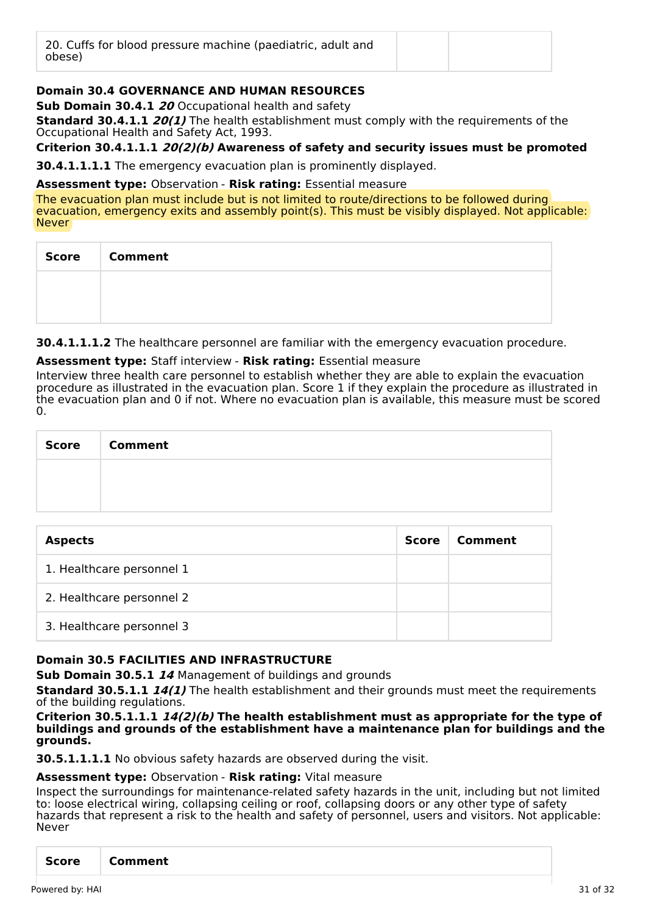| 20. Cuffs for blood pressure machine (paediatric, adult and<br>obese) |  |  |
|-----------------------------------------------------------------------|--|--|
|-----------------------------------------------------------------------|--|--|

# **Domain 30.4 GOVERNANCE AND HUMAN RESOURCES**

**Sub Domain 30.4.1 20** Occupational health and safety

**Standard 30.4.1.1 20(1)** The health establishment must comply with the requirements of the Occupational Health and Safety Act, 1993.

**Criterion 30.4.1.1.1 20(2)(b) Awareness of safety and security issues must be promoted**

**30.4.1.1.1.1** The emergency evacuation plan is prominently displayed.

#### **Assessment type:** Observation - **Risk rating:** Essential measure

The evacuation plan must include but is not limited to route/directions to be followed during evacuation, emergency exits and assembly point(s). This must be visibly displayed. Not applicable: Never

| <b>Score</b> | <b>Comment</b> |
|--------------|----------------|
|              |                |
|              |                |

**30.4.1.1.1.2** The healthcare personnel are familiar with the emergency evacuation procedure.

#### **Assessment type:** Staff interview - **Risk rating:** Essential measure

Interview three health care personnel to establish whether they are able to explain the evacuation procedure as illustrated in the evacuation plan. Score 1 if they explain the procedure as illustrated in the evacuation plan and 0 if not. Where no evacuation plan is available, this measure must be scored  $\Omega$ 

| Score | <b>Comment</b> |
|-------|----------------|
|       |                |
|       |                |

| <b>Aspects</b>            | <b>Score</b> | Comment |
|---------------------------|--------------|---------|
| 1. Healthcare personnel 1 |              |         |
| 2. Healthcare personnel 2 |              |         |
| 3. Healthcare personnel 3 |              |         |

# **Domain 30.5 FACILITIES AND INFRASTRUCTURE**

**Sub Domain 30.5.1 14** Management of buildings and grounds

**Standard 30.5.1.1 14(1)** The health establishment and their grounds must meet the requirements of the building regulations.

#### **Criterion 30.5.1.1.1 14(2)(b) The health establishment must as appropriate for the type of buildings and grounds of the establishment have a maintenance plan for buildings and the grounds.**

**30.5.1.1.1.1** No obvious safety hazards are observed during the visit.

# **Assessment type:** Observation - **Risk rating:** Vital measure

Inspect the surroundings for maintenance-related safety hazards in the unit, including but not limited to: loose electrical wiring, collapsing ceiling or roof, collapsing doors or any other type of safety hazards that represent a risk to the health and safety of personnel, users and visitors. Not applicable: Never